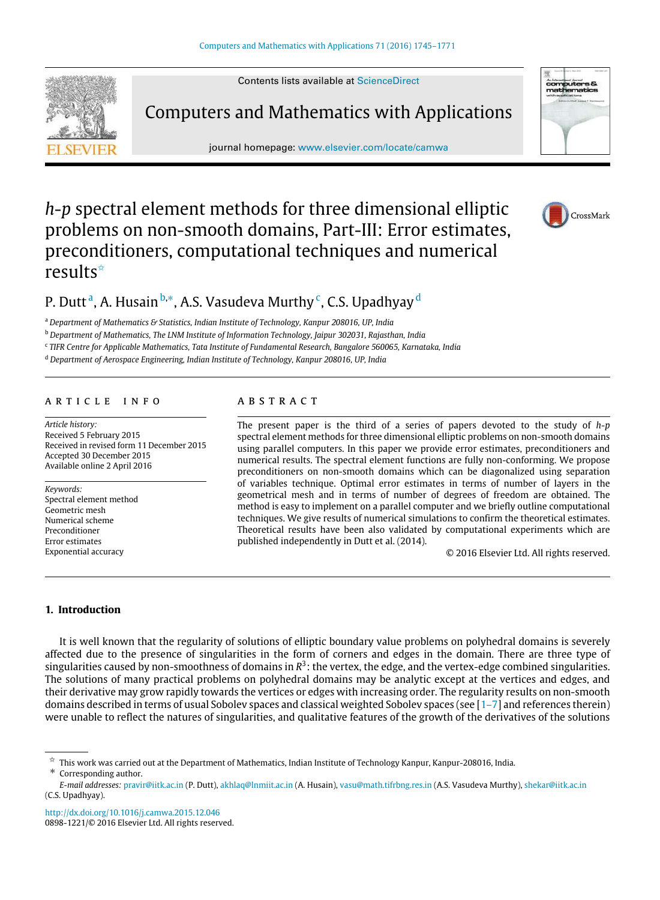Contents lists available at [ScienceDirect](http://www.elsevier.com/locate/camwa)



Computers and Mathematics with Applications

journal homepage: [www.elsevier.com/locate/camwa](http://www.elsevier.com/locate/camwa)



CrossMark

# *h*-*p* spectral element methods for three dimensional elliptic problems on non-smooth domains, Part-III: Error estimates, preconditioners, computational techniques and numerical results[✩](#page-0-0)



<span id="page-0-1"></span><sup>a</sup> *Department of Mathematics & Statistics, Indian Institute of Technology, Kanpur 208016, UP, India*

<span id="page-0-2"></span><sup>b</sup> *Department of Mathematics, The LNM Institute of Information Technology, Jaipur 302031, Rajasthan, India*

<span id="page-0-4"></span>c *TIFR Centre for Applicable Mathematics, Tata Institute of Fundamental Research, Bangalore 560065, Karnataka, India*

<span id="page-0-5"></span><sup>d</sup> *Department of Aerospace Engineering, Indian Institute of Technology, Kanpur 208016, UP, India*

## a r t i c l e i n f o

*Article history:* Received 5 February 2015 Received in revised form 11 December 2015 Accepted 30 December 2015 Available online 2 April 2016

*Keywords:* Spectral element method Geometric mesh Numerical scheme Preconditioner Error estimates Exponential accuracy

## a b s t r a c t

The present paper is the third of a series of papers devoted to the study of *h*-*p* spectral element methods for three dimensional elliptic problems on non-smooth domains using parallel computers. In this paper we provide error estimates, preconditioners and numerical results. The spectral element functions are fully non-conforming. We propose preconditioners on non-smooth domains which can be diagonalized using separation of variables technique. Optimal error estimates in terms of number of layers in the geometrical mesh and in terms of number of degrees of freedom are obtained. The method is easy to implement on a parallel computer and we briefly outline computational techniques. We give results of numerical simulations to confirm the theoretical estimates. Theoretical results have been also validated by computational experiments which are published independently in Dutt et al. (2014).

© 2016 Elsevier Ltd. All rights reserved.

## **1. Introduction**

It is well known that the regularity of solutions of elliptic boundary value problems on polyhedral domains is severely affected due to the presence of singularities in the form of corners and edges in the domain. There are three type of singularities caused by non-smoothness of domains in  $R^3$ : the vertex, the edge, and the vertex-edge combined singularities. The solutions of many practical problems on polyhedral domains may be analytic except at the vertices and edges, and their derivative may grow rapidly towards the vertices or edges with increasing order. The regularity results on non-smooth domains described in terms of usual Sobolev spaces and classical weighted Sobolev spaces (see [\[1–7\]](#page-26-0) and references therein) were unable to reflect the natures of singularities, and qualitative features of the growth of the derivatives of the solutions

<span id="page-0-3"></span>Corresponding author.

<http://dx.doi.org/10.1016/j.camwa.2015.12.046> 0898-1221/© 2016 Elsevier Ltd. All rights reserved.

<span id="page-0-0"></span> $^\star$  This work was carried out at the Department of Mathematics, Indian Institute of Technology Kanpur, Kanpur-208016, India.

*E-mail addresses:* [pravir@iitk.ac.in](mailto:pravir@iitk.ac.in) (P. Dutt), [akhlaq@lnmiit.ac.in](mailto:akhlaq@lnmiit.ac.in) (A. Husain), [vasu@math.tifrbng.res.in](mailto:vasu@math.tifrbng.res.in) (A.S. Vasudeva Murthy), [shekar@iitk.ac.in](mailto:shekar@iitk.ac.in) (C.S. Upadhyay).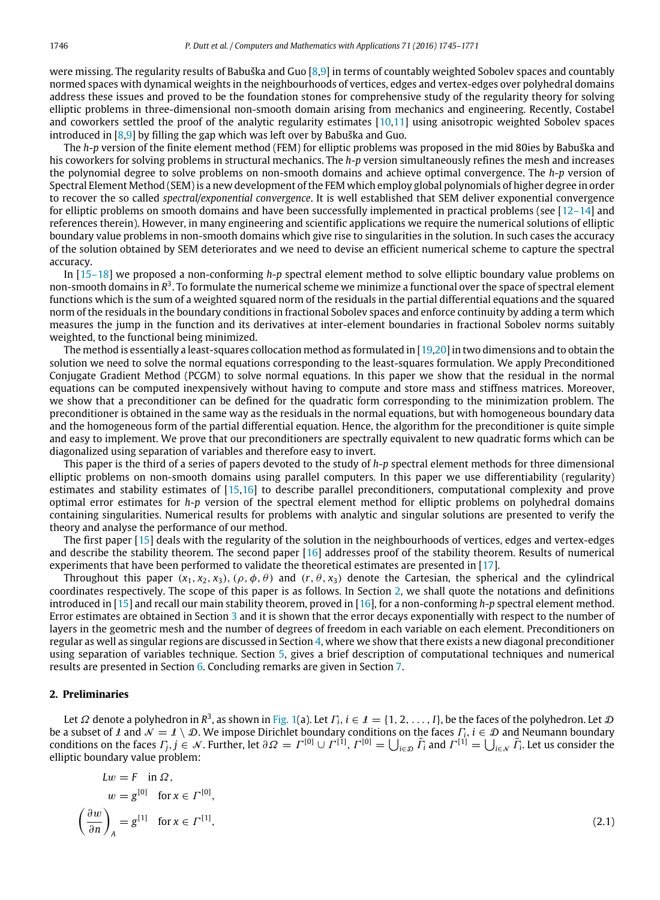were missing. The regularity results of Babuška and Guo [\[8](#page-26-1)[,9\]](#page-26-2) in terms of countably weighted Sobolev spaces and countably normed spaces with dynamical weights in the neighbourhoods of vertices, edges and vertex-edges over polyhedral domains address these issues and proved to be the foundation stones for comprehensive study of the regularity theory for solving elliptic problems in three-dimensional non-smooth domain arising from mechanics and engineering. Recently, Costabel and coworkers settled the proof of the analytic regularity estimates  $[10,11]$  $[10,11]$  using anisotropic weighted Sobolev spaces introduced in [\[8](#page-26-1)[,9\]](#page-26-2) by filling the gap which was left over by Babuška and Guo.

The *h*-*p* version of the finite element method (FEM) for elliptic problems was proposed in the mid 80ies by Babuška and his coworkers for solving problems in structural mechanics. The *h*-*p* version simultaneously refines the mesh and increases the polynomial degree to solve problems on non-smooth domains and achieve optimal convergence. The *h*-*p* version of Spectral Element Method (SEM) is a new development of the FEM which employ global polynomials of higher degree in order to recover the so called *spectral/exponential convergence*. It is well established that SEM deliver exponential convergence for elliptic problems on smooth domains and have been successfully implemented in practical problems (see  $[12-14]$  and references therein). However, in many engineering and scientific applications we require the numerical solutions of elliptic boundary value problems in non-smooth domains which give rise to singularities in the solution. In such cases the accuracy of the solution obtained by SEM deteriorates and we need to devise an efficient numerical scheme to capture the spectral accuracy.

In [\[15–18\]](#page-26-6) we proposed a non-conforming *h*-*p* spectral element method to solve elliptic boundary value problems on non-smooth domains in  $R^3$ . To formulate the numerical scheme we minimize a functional over the space of spectral element functions which is the sum of a weighted squared norm of the residuals in the partial differential equations and the squared norm of the residuals in the boundary conditions in fractional Sobolev spaces and enforce continuity by adding a term which measures the jump in the function and its derivatives at inter-element boundaries in fractional Sobolev norms suitably weighted, to the functional being minimized.

The method is essentially a least-squares collocation method as formulated in [\[19,](#page-26-7)[20\]](#page-26-8) in two dimensions and to obtain the solution we need to solve the normal equations corresponding to the least-squares formulation. We apply Preconditioned Conjugate Gradient Method (PCGM) to solve normal equations. In this paper we show that the residual in the normal equations can be computed inexpensively without having to compute and store mass and stiffness matrices. Moreover, we show that a preconditioner can be defined for the quadratic form corresponding to the minimization problem. The preconditioner is obtained in the same way as the residuals in the normal equations, but with homogeneous boundary data and the homogeneous form of the partial differential equation. Hence, the algorithm for the preconditioner is quite simple and easy to implement. We prove that our preconditioners are spectrally equivalent to new quadratic forms which can be diagonalized using separation of variables and therefore easy to invert.

This paper is the third of a series of papers devoted to the study of *h*-*p* spectral element methods for three dimensional elliptic problems on non-smooth domains using parallel computers. In this paper we use differentiability (regularity) estimates and stability estimates of [\[15,](#page-26-6)[16\]](#page-26-9) to describe parallel preconditioners, computational complexity and prove optimal error estimates for *h*-*p* version of the spectral element method for elliptic problems on polyhedral domains containing singularities. Numerical results for problems with analytic and singular solutions are presented to verify the theory and analyse the performance of our method.

The first paper [\[15\]](#page-26-6) deals with the regularity of the solution in the neighbourhoods of vertices, edges and vertex-edges and describe the stability theorem. The second paper [\[16\]](#page-26-9) addresses proof of the stability theorem. Results of numerical experiments that have been performed to validate the theoretical estimates are presented in [\[17\]](#page-26-10).

Throughout this paper  $(x_1, x_2, x_3)$ ,  $(\rho, \phi, \theta)$  and  $(r, \theta, x_3)$  denote the Cartesian, the spherical and the cylindrical coordinates respectively. The scope of this paper is as follows. In Section [2,](#page-1-0) we shall quote the notations and definitions introduced in [\[15\]](#page-26-6) and recall our main stability theorem, proved in [\[16\]](#page-26-9), for a non-conforming *h*-*p* spectral element method. Error estimates are obtained in Section [3](#page-9-0) and it is shown that the error decays exponentially with respect to the number of layers in the geometric mesh and the number of degrees of freedom in each variable on each element. Preconditioners on regular as well as singular regions are discussed in Section [4,](#page-14-0) where we show that there exists a new diagonal preconditioner using separation of variables technique. Section [5,](#page-19-0) gives a brief description of computational techniques and numerical results are presented in Section [6.](#page-20-0) Concluding remarks are given in Section [7.](#page-24-0)

## <span id="page-1-0"></span>**2. Preliminaries**

Let  $\Omega$  denote a polyhedron in  $R^3$ , as shown in [Fig. 1\(](#page-2-0)a). Let  $\Gamma_i$ ,  $i \in I = \{1, 2, ..., I\}$ , be the faces of the polyhedron. Let  $\mathcal D$ be a subset of *I* and  $\mathcal{N} = I \setminus \mathcal{D}$ . We impose Dirichlet boundary conditions on the faces  $\Gamma_i$ ,  $i \in \mathcal{D}$  and Neumann boundary conditions on the faces  $\Gamma_j$ ,  $j \in \mathcal{N}$ . Further, let  $\partial \Omega = \Gamma^{[0]} \cup \Gamma^{[1]}$ ,  $\Gamma^{[0]} = \bigcup_{i \in \mathcal{D}} \overline{\Gamma}_i$  and  $\Gamma^{[1]} = \bigcup_{i \in \mathcal{N}} \overline{\Gamma}_i$ . Let us consider the elliptic boundary value problem:

<span id="page-1-1"></span>
$$
Lw = F \quad \text{in } \Omega,
$$
  
\n
$$
w = g^{[0]} \quad \text{for } x \in \Gamma^{[0]},
$$
  
\n
$$
\left(\frac{\partial w}{\partial n}\right)_A = g^{[1]} \quad \text{for } x \in \Gamma^{[1]},
$$
\n(2.1)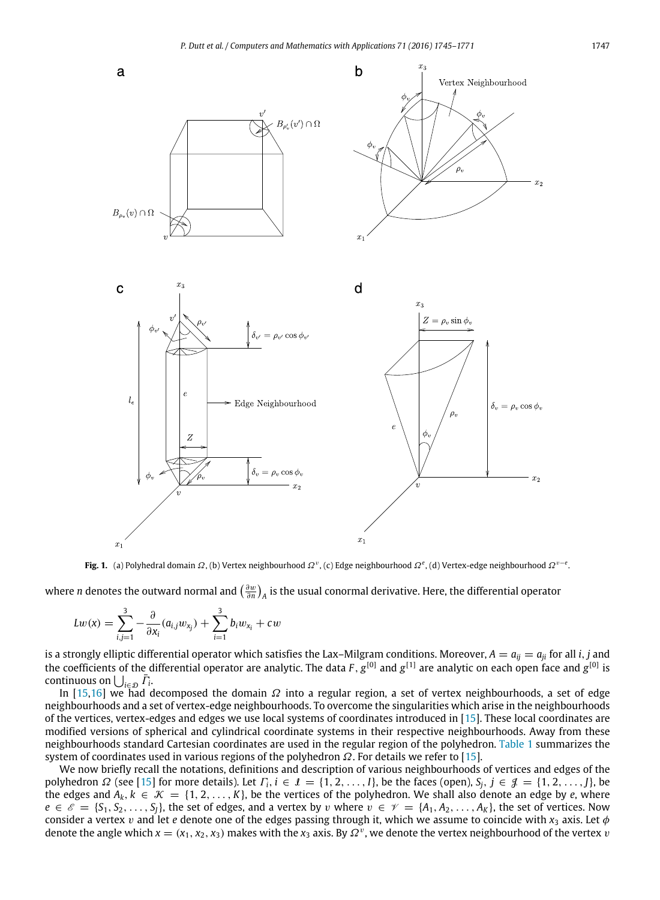<span id="page-2-0"></span>

**Fig. 1.** (a) Polyhedral domain Ω, (b) Vertex neighbourhood Ω<sup>v</sup>, (c) Edge neighbourhood Ω<sup>e</sup>, (d) Vertex-edge neighbourhood Ω<sup>v−e</sup>.

where *n* denotes the outward normal and  $\left(\frac{\partial w}{\partial n}\right)_A$  is the usual conormal derivative. Here, the differential operator

$$
Lw(x) = \sum_{i,j=1}^3 -\frac{\partial}{\partial x_i}(a_{i,j}w_{x_j}) + \sum_{i=1}^3 b_iw_{x_i} + cw
$$

is a strongly elliptic differential operator which satisfies the Lax–Milgram conditions. Moreover,  $A = a_{ij} = a_{ji}$  for all *i*, *j* and the coefficients of the differential operator are analytic. The data *F*,  $g^{[0]}$  and  $g^{[1]}$  are analytic on each open face and  $g^{[0]}$  is continuous on  $\bigcup_{i \in \mathcal{D}} \bar{\Gamma}_i$ .

In [\[15,](#page-26-6)[16\]](#page-26-9) we had decomposed the domain Ω into a regular region, a set of vertex neighbourhoods, a set of edge neighbourhoods and a set of vertex-edge neighbourhoods. To overcome the singularities which arise in the neighbourhoods of the vertices, vertex-edges and edges we use local systems of coordinates introduced in [\[15\]](#page-26-6). These local coordinates are modified versions of spherical and cylindrical coordinate systems in their respective neighbourhoods. Away from these neighbourhoods standard Cartesian coordinates are used in the regular region of the polyhedron. [Table 1](#page-3-0) summarizes the system of coordinates used in various regions of the polyhedron  $\Omega$ . For details we refer to [\[15\]](#page-26-6).

We now briefly recall the notations, definitions and description of various neighbourhoods of vertices and edges of the polyhedron  $\Omega$  (see [\[15\]](#page-26-6) for more details). Let  $\Gamma_i$ ,  $i \in \mathcal{I} = \{1, 2, \ldots, I\}$ , be the faces (open),  $S_i$ ,  $j \in \mathcal{I} = \{1, 2, \ldots, I\}$ , be the edges and  $A_k$ ,  $k \in \mathcal{K} = \{1, 2, ..., K\}$ , be the vertices of the polyhedron. We shall also denote an edge by *e*, where  $e \in \mathscr{E} = \{S_1, S_2, \ldots, S_j\}$ , the set of edges, and a vertex by v where  $v \in \mathscr{V} = \{A_1, A_2, \ldots, A_k\}$ , the set of vertices. Now consider a vertex v and let *e* denote one of the edges passing through it, which we assume to coincide with  $x_3$  axis. Let  $\phi$ denote the angle which  $x = (x_1, x_2, x_3)$  makes with the  $x_3$  axis. By  $\Omega^v$ , we denote the vertex neighbourhood of the vertex v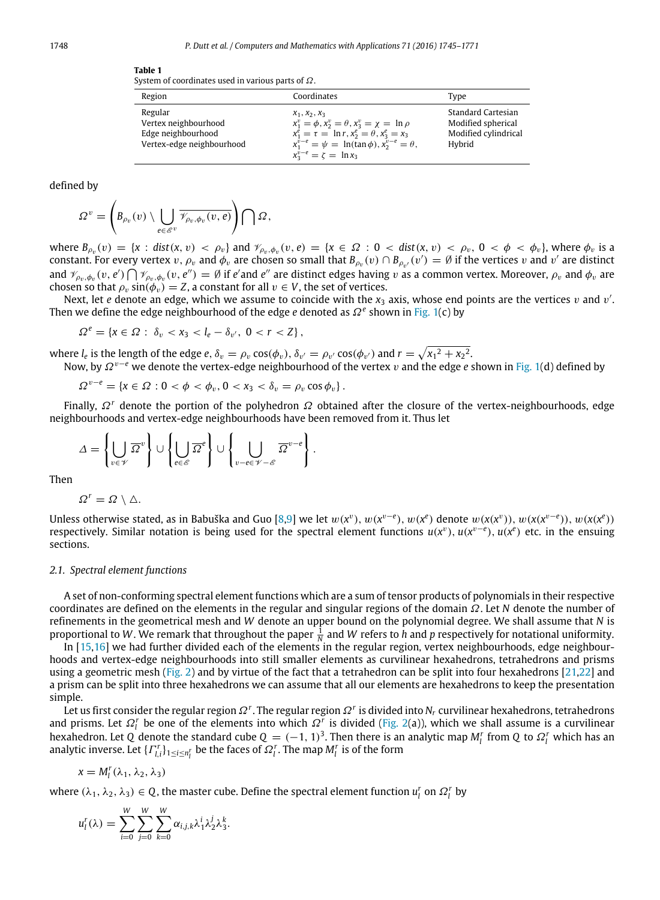<span id="page-3-0"></span>

| Table 1                                                   |  |
|-----------------------------------------------------------|--|
| System of coordinates used in various parts of $\Omega$ . |  |

| Region                                                                             | Coordinates                                                                                                                                                                                                                    | Tvpe                                                                       |
|------------------------------------------------------------------------------------|--------------------------------------------------------------------------------------------------------------------------------------------------------------------------------------------------------------------------------|----------------------------------------------------------------------------|
| Regular<br>Vertex neighbourhood<br>Edge neighbourhood<br>Vertex-edge neighbourhood | $X_1, X_2, X_3$<br>$x_1^v = \phi, x_2^v = \theta, x_3^v = \chi = \ln \rho$<br>$x_1^e = \tau = \ln r, x_2^e = \theta, x_3^e = x_3$<br>$x_1^{v-e} = \psi = \ln(\tan \phi), x_2^{v-e} = \theta,$<br>$x_2^{v-e} = \zeta = \ln x_3$ | Standard Cartesian<br>Modified spherical<br>Modified cylindrical<br>Hybrid |

defined by

$$
\mathfrak{Q}^v=\left(B_{\rho_v}(v)\setminus\bigcup_{e\in\mathscr{E}^v}\overline{\mathscr{V}_{\rho_v,\phi_v}(v,e)}\right)\bigcap\mathfrak{Q},
$$

where  $B_{\rho_v}(v) = \{x : dist(x, v) < \rho_v\}$  and  $\mathcal{V}_{\rho_v, \phi_v}(v, e) = \{x \in \Omega : 0 < dist(x, v) < \rho_v, 0 < \phi < \phi_v\}$ , where  $\phi_v$  is a constant. For every vertex  $v, \rho_v$  and  $\phi_v$  are chosen so small that  $B_{\rho_v}(v) \cap B_{\rho_{v'}}(v') = \emptyset$  if the vertices  $v$  and  $v'$  are distinct and  $\mathscr{V}_{\rho_v,\phi_v}(v,e') \bigcap \mathscr{V}_{\rho_v,\phi_v}(v,e'') = \emptyset$  if *e'and e'' are distinct edges having v as a common vertex. Moreover,*  $\rho_v$  *and*  $\phi_v$  *are* chosen so that  $\rho_v \sin(\phi_v) = Z$ , a constant for all  $v \in V$ , the set of vertices.

Next, let *e* denote an edge, which we assume to coincide with the  $x_3$  axis, whose end points are the vertices  $v$  and  $v'$ . Then we define the edge neighbourhood of the edge *e* denoted as Ω*<sup>e</sup>* shown in [Fig. 1\(](#page-2-0)c) by

 $\Omega^{e} = \{x \in \Omega : \delta_{v} < x_{3} < l_{e} - \delta_{v'}, \ 0 < r < Z\},\$ 

where  $l_e$  is the length of the edge  $e$ ,  $\delta_v = \rho_v \cos(\phi_v)$ ,  $\delta_{v'} = \rho_{v'} \cos(\phi_{v'})$  and  $r = \sqrt{x_1^2 + x_2^2}$ .

Now, by Ωv−*<sup>e</sup>* we denote the vertex-edge neighbourhood of the vertex v and the edge *e* shown in [Fig. 1\(](#page-2-0)d) defined by

$$
\Omega^{\nu-e}=\left\{x\in\Omega:0<\phi<\phi_v,0
$$

Finally,  $\Omega^r$  denote the portion of the polyhedron  $\Omega$  obtained after the closure of the vertex-neighbourhoods, edge neighbourhoods and vertex-edge neighbourhoods have been removed from it. Thus let

$$
\varDelta = \left\{\bigcup_{v \in \mathscr{V}} \overline{\varOmega}^v \right\} \cup \left\{\bigcup_{e \in \mathscr{E}} \overline{\varOmega}^e \right\} \cup \left\{\bigcup_{v-e \in \mathscr{V}-\mathscr{E}} \overline{\varOmega}^{v-e} \right\}.
$$

Then

$$
\Omega^r=\Omega\setminus\Delta.
$$

Unless otherwise stated, as in Babuška and Guo [\[8](#page-26-1)[,9\]](#page-26-2) we let  $w(x^v)$ ,  $w(x^{v-e})$ ,  $w(x^e)$  denote  $w(x(x^v))$ ,  $w(x(x^{v-e}))$ ,  $w(x(x^e))$ respectively. Similar notation is being used for the spectral element functions  $u(x^v)$ ,  $u(x^{v-e})$ ,  $u(x^e)$  etc. in the ensuing sections.

## *2.1. Spectral element functions*

A set of non-conforming spectral element functions which are a sum of tensor products of polynomials in their respective coordinates are defined on the elements in the regular and singular regions of the domain Ω. Let *N* denote the number of refinements in the geometrical mesh and *W* denote an upper bound on the polynomial degree. We shall assume that *N* is proportional to *W*. We remark that throughout the paper  $\frac{1}{N}$  and *W* refers to *h* and *p* respectively for notational uniformity.

In  $[15,16]$  $[15,16]$  we had further divided each of the elements in the regular region, vertex neighbourhoods, edge neighbourhoods and vertex-edge neighbourhoods into still smaller elements as curvilinear hexahedrons, tetrahedrons and prisms using a geometric mesh [\(Fig. 2\)](#page-4-0) and by virtue of the fact that a tetrahedron can be split into four hexahedrons [\[21,](#page-26-11)[22\]](#page-26-12) and a prism can be split into three hexahedrons we can assume that all our elements are hexahedrons to keep the presentation simple.

Let us first consider the regular region  $\varOmega^r$  . The regular region  $\varOmega^r$  is divided into  $N_r$  curvilinear hexahedrons, tetrahedrons and prisms. Let  $\Omega^r_l$  be one of the elements into which  $\Omega^r$  is divided [\(Fig. 2\(](#page-4-0)a)), which we shall assume is a curvilinear hexahedron. Let *Q* denote the standard cube  $Q = (-1, 1)^3$ . Then there is an analytic map  $M_l^r$  from *Q* to  $\Omega_l^r$  which has an analytic inverse. Let  $\{ \Gamma_{l,i}^r \}_{1 \leq i \leq n_l^r}$  be the faces of  $\Omega_l^r$ . The map  $M_l^r$  is of the form

$$
x = M_l^r(\lambda_1, \lambda_2, \lambda_3)
$$

where  $(\lambda_1, \lambda_2, \lambda_3) \in Q$ , the master cube. Define the spectral element function  $u_l^r$  on  $\Omega_l^r$  by

$$
u_l^r(\lambda) = \sum_{i=0}^W \sum_{j=0}^W \sum_{k=0}^W \alpha_{i,j,k} \lambda_1^i \lambda_2^j \lambda_3^k.
$$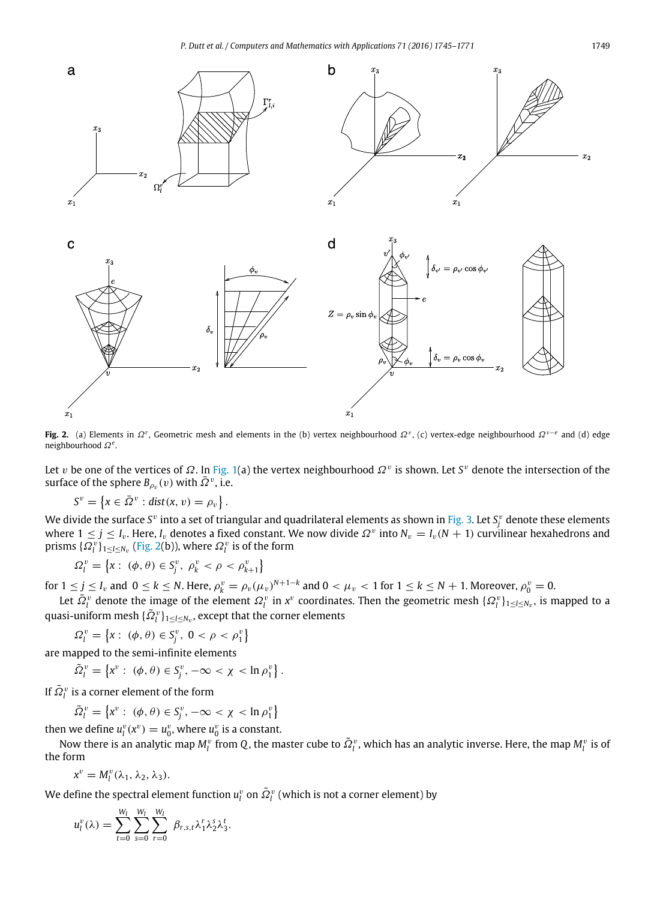<span id="page-4-0"></span>

**Fig. 2.** (a) Elements in Ω<sup>r</sup>, Geometric mesh and elements in the (b) vertex neighbourhood Ω<sup>v</sup>, (c) vertex-edge neighbourhood Ω<sup>v−*e*</sup> and (d) edge neighbourhood Ω*<sup>e</sup>* .

Let v be one of the vertices of  $\Omega$ . In [Fig. 1\(](#page-2-0)a) the vertex neighbourhood  $\Omega^v$  is shown. Let  $S^v$  denote the intersection of the surface of the sphere  $B_{\rho_v}(v)$  with  $\bar{\Omega}^v$ , i.e.

$$
S^v = \left\{ x \in \bar{\Omega}^v : \text{dist}(x, v) = \rho_v \right\}.
$$

We divide the surface  $S^v$  into a set of triangular and quadrilateral elements as shown in [Fig. 3.](#page-5-0) Let  $S^v_j$  denote these elements where  $1 \le j \le I_v$ . Here,  $I_v$  denotes a fixed constant. We now divide  $\Omega^v$  into  $N_v = I_v(N + 1)$  curvilinear hexahedrons and prisms  $\{\Omega_l^v\}_{1 \leq l \leq N_v}$  [\(Fig. 2\(](#page-4-0)b)), where  $\Omega_l^v$  is of the form

$$
\Omega_l^v = \left\{ x : \ (\phi, \theta) \in S_j^v, \ \rho_k^v < \rho < \rho_{k+1}^v \right\}
$$

for  $1 \leq j \leq I_v$  and  $0 \leq k \leq N$ . Here,  $\rho_k^v = \rho_v(\mu_v)^{N+1-k}$  and  $0 < \mu_v < 1$  for  $1 \leq k \leq N+1$ . Moreover,  $\rho_0^v = 0$ .

Let  $\tilde{\Omega}^v_l$  denote the image of the element  $\Omega^v_l$  in  $x^v$  coordinates. Then the geometric mesh  $\{\Omega^v_l\}_{1\leq l\leq N_v},$  is mapped to a quasi-uniform mesh  $\{\tilde{\Omega}_{l}^{v}\}_{1\leq l\leq N_{v}}$ , except that the corner elements

 $\Omega_l^v = \left\{ x : (\phi, \theta) \in S_j^v, 0 < \rho < \rho_1^v \right\}$ 

are mapped to the semi-infinite elements

$$
\tilde{\Omega}_l^v = \left\{ x^v : (\phi, \theta) \in S_j^v, -\infty < \chi < \ln \rho_1^v \right\}.
$$

If  $\tilde{\Omega}_{l}^{v}$  is a corner element of the form

 $\tilde{\Omega}_{l}^{v} = \left\{x^{v} : (\phi, \theta) \in S_{j}^{v}, -\infty < \chi < \ln \rho_{1}^{v}\right\}$ 

then we define  $u_l^v(x^v) = u_0^v$ , where  $u_0^v$  is a constant.

Now there is an analytic map  $M_l^v$  from Q, the master cube to  $\tilde Q_l^v$ , which has an analytic inverse. Here, the map  $M_l^v$  is of the form

$$
x^v = M_l^v(\lambda_1, \lambda_2, \lambda_3).
$$

We define the spectral element function  $u_l^v$  on  $\tilde{\Omega}_l^v$  (which is not a corner element) by

$$
u_l^v(\lambda)=\sum_{t=0}^{W_l}\sum_{s=0}^{W_l}\sum_{r=0}^{W_l}\beta_{r,s,t}\lambda_1^r\lambda_2^s\lambda_3^t.
$$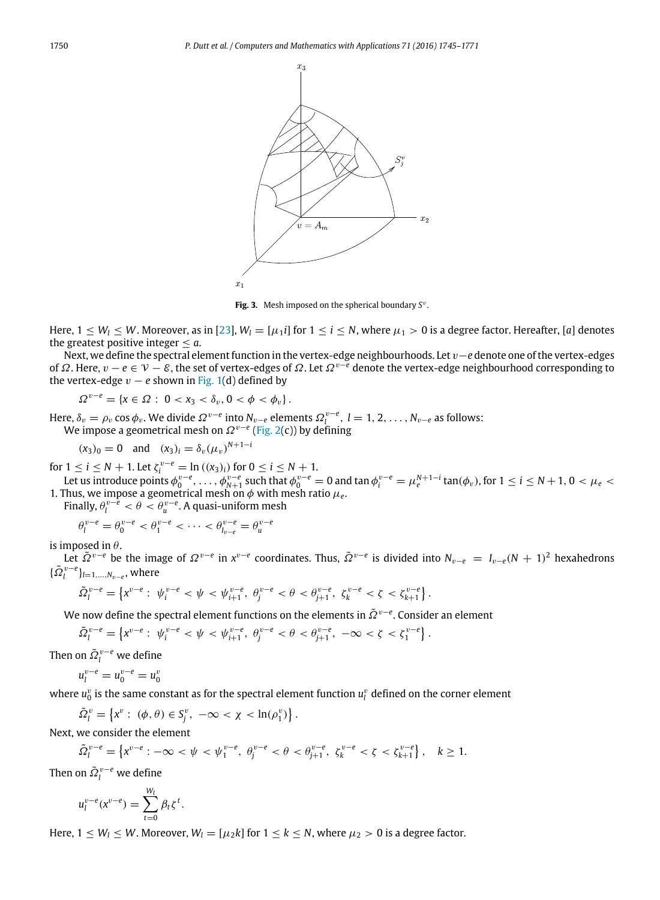<span id="page-5-0"></span>

Fig. 3. Mesh imposed on the spherical boundary S<sup>v</sup>.

Here,  $1 \leq W_l \leq W$ . Moreover, as in [\[23\]](#page-26-13),  $W_l = [\mu_1 i]$  for  $1 \leq i \leq N$ , where  $\mu_1 > 0$  is a degree factor. Hereafter, [a] denotes the greatest positive integer  $\leq a$ .

Next, we define the spectral element function in the vertex-edge neighbourhoods. Let v−*<sup>e</sup>* denote one of the vertex-edges of <sup>Ω</sup>. Here, <sup>v</sup> <sup>−</sup> *<sup>e</sup>* <sup>∈</sup> <sup>V</sup> <sup>−</sup> <sup>E</sup>, the set of vertex-edges of <sup>Ω</sup>. Let <sup>Ω</sup>v−*<sup>e</sup>* denote the vertex-edge neighbourhood corresponding to the vertex-edge  $v - e$  shown in [Fig. 1\(](#page-2-0)d) defined by

$$
\Omega^{\nu-e} = \{x \in \Omega: \ 0 < x_3 < \delta_{\nu}, 0 < \phi < \phi_{\nu}\}.
$$

Here,  $\delta_v = \rho_v \cos \phi_v$ . We divide  $\Omega^{v-e}$  into  $N_{v-e}$  elements  $\Omega_l^{v-e}$ ,  $l = 1, 2, ..., N_{v-e}$  as follows:<br>We impose a geometrical mesh on  $\Omega^{v-e}$  [\(Fig. 2\(](#page-4-0)c)) by defining

$$
(x_3)_0 = 0
$$
 and  $(x_3)_i = \delta_v(\mu_v)^{N+1-i}$ 

for  $1 \le i \le N + 1$ . Let  $\zeta_i^{v-e} = \ln((x_3)_i)$  for  $0 \le i \le N + 1$ .

Let us introduce points  $\phi_0^{v-e}, \ldots, \phi_{N+1}^{v-e}$  such that  $\phi_0^{v-e} = 0$  and  $\tan \phi_i^{v-e} = \mu_e^{N+1-i} \tan(\phi_v)$ , for  $1 \le i \le N+1$ ,  $0 < \mu_e < 1$ . Thus, we impose a geometrical mesh on  $\phi$  with mesh ratio  $\mu_e$ .

Finally,  $\theta_l^{v-\tilde{e}} < \theta < \theta_u^{v-e}$ . A quasi-uniform mesh

$$
\theta_l^{v-e} = \theta_0^{v-e} < \theta_1^{v-e} < \cdots < \theta_{l_{v-e}}^{v-e} = \theta_u^{v-e}
$$

## is imposed in  $\theta$ .

Let  $\tilde{\Omega}^{v-e}$  be the image of  $\Omega^{v-e}$  in  $x^{v-e}$  coordinates. Thus,  $\tilde{\Omega}^{v-e}$  is divided into  $N_{v-e} = I_{v-e}(N + 1)^2$  hexahedrons  $\{\tilde{\Omega}_{l}^{v-e}\}_{l=1,...,N_{v-e}}$ , where

$$
\tilde{\Omega}_l^{v-e} = \left\{ x^{v-e} : \psi_i^{v-e} < \psi < \psi_{i+1}^{v-e}, \ \theta_j^{v-e} < \theta < \theta_{j+1}^{v-e}, \ \zeta_k^{v-e} < \zeta < \zeta_{k+1}^{v-e} \right\}.
$$

We now define the spectral element functions on the elements in  $\tilde{\Omega}^{v-e}$ . Consider an element

$$
\tilde{\Omega}_l^{v-e} = \left\{ x^{v-e} : \psi_i^{v-e} < \psi < \psi_{i+1}^{v-e}, \ \theta_j^{v-e} < \theta < \theta_{j+1}^{v-e}, \ -\infty < \zeta < \zeta_l^{v-e} \right\}.
$$

Then on  $\tilde{\Omega}^{v-e}_{l}$  we define

$$
u_l^{v-e}=u_0^{v-e}=u_0^v
$$

where  $u_0^v$  is the same constant as for the spectral element function  $u_l^v$  defined on the corner element

$$
\tilde{\Omega}_l^v = \left\{ x^v : (\phi, \theta) \in S_j^v, -\infty < \chi < \ln(\rho_1^v) \right\}.
$$

Next, we consider the element

$$
\tilde{\Omega}^{v-e}_l = \left\{ x^{v-e} : -\infty < \psi < \psi^{v-e}_1, \ \theta^{v-e}_j < \theta < \theta^{v-e}_{j+1}, \ \zeta^{v-e}_k < \zeta < \zeta^{v-e}_{k+1} \right\}, \quad k \ge 1.
$$

Then on  $\tilde{\Omega}_l^{v-e}$  we define

$$
u_l^{v-e}(x^{v-e})=\sum_{t=0}^{W_l}\beta_t\zeta^t.
$$

Here,  $1 \leq W_l \leq W$ . Moreover,  $W_l = [\mu_2 k]$  for  $1 \leq k \leq N$ , where  $\mu_2 > 0$  is a degree factor.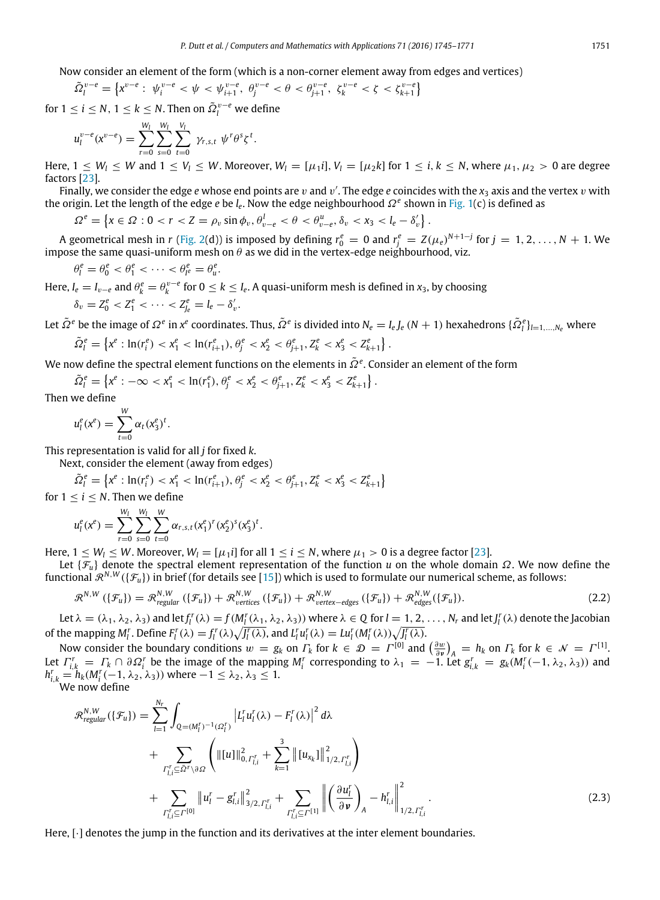Now consider an element of the form (which is a non-corner element away from edges and vertices)

$$
\tilde{\Omega}_l^{v-e} = \left\{ x^{v-e} : \psi_i^{v-e} < \psi < \psi_{i+1}^{v-e}, \ \theta_j^{v-e} < \theta < \theta_{j+1}^{v-e}, \ \zeta_k^{v-e} < \zeta < \zeta_{k+1}^{v-e} \right\}
$$

*t* .

for  $1 \le i \le N$ ,  $1 \le k \le N$ . Then on  $\tilde{\Omega}_l^{v-e}$  we define

$$
u_l^{v-e}(x^{v-e}) = \sum_{r=0}^{W_l} \sum_{s=0}^{W_l} \sum_{t=0}^{V_l} \gamma_{r,s,t} \psi^r \theta^s \zeta
$$

Here,  $1 \leq W_l \leq W$  and  $1 \leq V_l \leq W$ . Moreover,  $W_l = [\mu_1 i], V_l = [\mu_2 k]$  for  $1 \leq i, k \leq N$ , where  $\mu_1, \mu_2 > 0$  are degree factors [\[23\]](#page-26-13).

Finally, we consider the edge  $e$  whose end points are  $v$  and  $v'$ . The edge  $e$  coincides with the  $x_3$  axis and the vertex  $v$  with the origin. Let the length of the edge *e* be *l<sup>e</sup>* . Now the edge neighbourhood Ω*<sup>e</sup>* shown in [Fig. 1\(](#page-2-0)c) is defined as

 $\Omega^{e} = \{x \in \Omega : 0 < r < Z = \rho_{v} \sin \phi_{v}, \theta_{v-e}^{l} < \theta < \theta_{v-e}^{u}, \delta_{v} < x_{3} < l_{e} - \delta_{v}'\}$ .

A geometrical mesh in *r* [\(Fig. 2\(](#page-4-0)d)) is imposed by defining  $r_0^e = 0$  and  $r_j^e = Z(\mu_e)^{N+1-j}$  for  $j = 1, 2, ..., N + 1$ . We impose the same quasi-uniform mesh on  $\theta$  as we did in the vertex-edge neighbourhood, viz.

$$
\theta_l^e = \theta_0^e < \theta_1^e < \cdots < \theta_{l^e}^e = \theta_u^e.
$$

Here,  $I_e = I_{v-e}$  and  $\theta_k^e = \theta_k^{v-e}$  for  $0 \le k \le I_e$ . A quasi-uniform mesh is defined in  $x_3$ , by choosing

$$
\delta_v = Z_0^e < Z_1^e < \cdots < Z_{J_e}^e = l_e - \delta_v'.
$$

Let  $\tilde{\Omega}^e$  be the image of  $\Omega^e$  in  $x^e$  coordinates. Thus,  $\tilde{\Omega}^e$  is divided into  $N_e=l_eJ_e$   $(N+1)$  hexahedrons  $\{\tilde{\Omega}^e_l\}_{l=1,...,N_e}$  where

.

.

$$
\tilde{\Omega}_{l}^{e} = \left\{x^{e} : \ln(r_{i}^{e}) < x_{1}^{e} < \ln(r_{i+1}^{e}), \theta_{j}^{e} < x_{2}^{e} < \theta_{j+1}^{e}, Z_{k}^{e} < x_{3}^{e} < Z_{k+1}^{e}\right\}
$$

We now define the spectral element functions on the elements in  $\tilde{\Omega}^e$ . Consider an element of the form

$$
\tilde{\Omega}_{l}^{e} = \left\{x^{e} : -\infty < x_{1}^{e} < \ln(r_{1}^{e}), \theta_{j}^{e} < x_{2}^{e} < \theta_{j+1}^{e}, Z_{k}^{e} < x_{3}^{e} < Z_{k+1}^{e}\right\}
$$

Then we define

$$
u_l^e(x^e) = \sum_{t=0}^W \alpha_t (x_3^e)^t.
$$

This representation is valid for all *j* for fixed *k*.

Next, consider the element (away from edges)

 $\tilde{\Omega}_{l}^{e} = \left\{x^{e} : \ln(r_{i}^{e}) < x_{1}^{e} < \ln(r_{i+1}^{e}), \theta_{j}^{e} < x_{2}^{e} < \theta_{j+1}^{e}, Z_{k}^{e} < x_{3}^{e} < Z_{k+1}^{e}\right\}$ 

for  $1 \le i \le N$ . Then we define

$$
u_l^e(x^e) = \sum_{r=0}^{W_l} \sum_{s=0}^{W_l} \sum_{t=0}^{W} \alpha_{r,s,t}(x_1^e)^r (x_2^e)^s (x_3^e)^t.
$$

Here,  $1 \leq W_l \leq W$ . Moreover,  $W_l = [\mu_1 i]$  for all  $1 \leq i \leq N$ , where  $\mu_1 > 0$  is a degree factor [\[23\]](#page-26-13).

Let  $\{\mathcal{F}_u\}$  denote the spectral element representation of the function *u* on the whole domain  $\Omega$ . We now define the functional  $\mathcal{R}^{N,W}(\{\mathcal{F}_u\})$  in brief (for details see [\[15\]](#page-26-6)) which is used to formulate our numerical scheme, as follows:

<span id="page-6-1"></span>
$$
\mathcal{R}^{N,W}(\{\mathcal{F}_u\}) = \mathcal{R}_{regular}^{N,W}(\{\mathcal{F}_u\}) + \mathcal{R}_{vertices}^{N,W}(\{\mathcal{F}_u\}) + \mathcal{R}_{vertex-deges}^{N,W}(\{\mathcal{F}_u\}) + \mathcal{R}_{edges}^{N,W}(\{\mathcal{F}_u\}).
$$
\n(2.2)

Let  $\lambda = (\lambda_1, \lambda_2, \lambda_3)$  and let  $f_l^r(\lambda) = f(M_l^r(\lambda_1, \lambda_2, \lambda_3))$  where  $\lambda \in Q$  for  $l = 1, 2, ..., N_r$  and let  $J_l^r(\lambda)$  denote the Jacobian of the mapping  $M_l^r$ . Define  $F_l^r(\lambda) = f_l^r(\lambda) \sqrt{J_l^r(\lambda)}$ , and  $L_l^r u_l^r(\lambda) = L u_l^r(M_l^r(\lambda)) \sqrt{J_l^r(\lambda)}$ .

Now consider the boundary conditions  $w = g_k$  on  $\Gamma_k$  for  $k \in \mathcal{D} = \Gamma^{[0]}$  and  $\left(\frac{\partial w}{\partial v}\right)_A = h_k$  on  $\Gamma_k$  for  $k \in \mathcal{N} = \Gamma^{[1]}$ . Let  $\Gamma_{i,k}^r = \Gamma_k \cap \partial \Omega_i^r$  be the image of the mapping  $M_i^r$  corresponding to  $\lambda_1 = -1$ . Let  $g_{i,k}^r = g_k(M_i^r(-1, \lambda_2, \lambda_3))$  and  $h_{i,k}^r = h_k(M_i^r(-1, \lambda_2, \lambda_3))$  where  $-1 \leq \lambda_2, \lambda_3 \leq 1$ .<br>We now define

<span id="page-6-0"></span>
$$
\mathcal{R}_{regular}^{N,W}(\{\mathcal{F}_{u}\}) = \sum_{l=1}^{N_{r}} \int_{Q=(M_{l}^{r})^{-1}(\Omega_{l}^{r})} \left| L_{l}^{r} u_{l}^{r}(\lambda) - F_{l}^{r}(\lambda) \right|^{2} d\lambda \n+ \sum_{\substack{\Gamma_{l,i}^{r} \subseteq \tilde{\Omega}^{r} \setminus \partial \Omega}} \left( \|\left[u\right]\|_{0,\Gamma_{l,i}^{r}}^{2} + \sum_{k=1}^{3} \left\|\left[u_{k,k}\right]\right\|_{1/2,\Gamma_{l,i}^{r}}^{2} \right) \n+ \sum_{\substack{\Gamma_{l,i}^{r} \subseteq \Gamma^{[0]}}} \left\| u_{l}^{r} - g_{l,i}^{r} \right\|_{3/2,\Gamma_{l,i}^{r}}^{2} + \sum_{\substack{\Gamma_{l,i}^{r} \subseteq \Gamma^{[1]}}} \left\| \left(\frac{\partial u_{l}^{r}}{\partial \nu}\right)_{A} - h_{l,i}^{r} \right\|_{1/2,\Gamma_{l,i}^{r}}^{2}.
$$
\n(2.3)

Here,  $\lceil \cdot \rceil$  denotes the jump in the function and its derivatives at the inter element boundaries.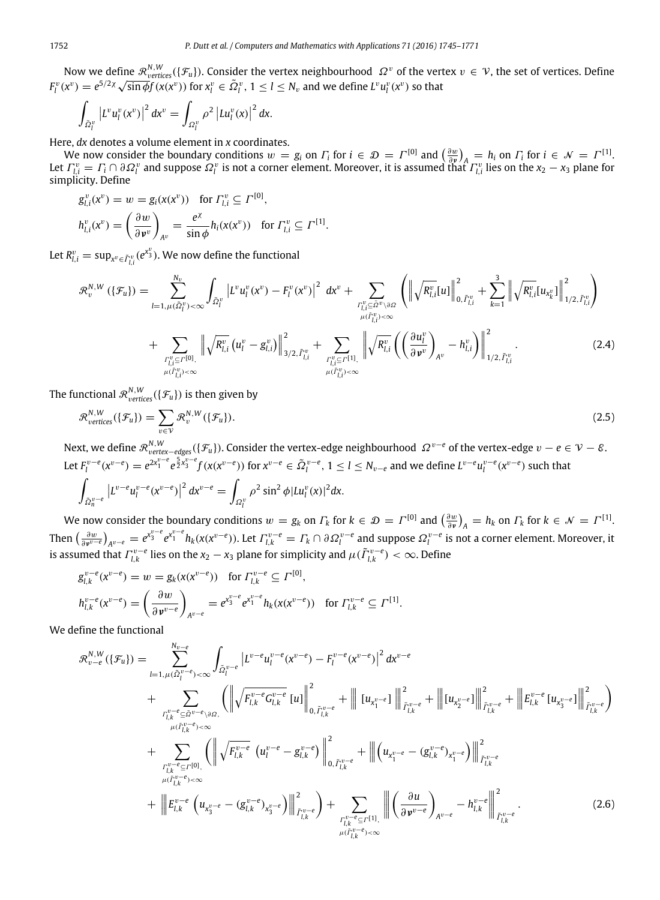Now we define  $\mathcal{R}_{vertices}^{N,W}(\{\mathcal{F}_u\})$ . Consider the vertex neighbourhood  $\Omega^v$  of the vertex  $v \in \mathcal{V}$ , the set of vertices. Define  $F_l^v(x^v) = e^{5/2x} \sqrt{\sin \phi f(x(x^v))}$  for  $x_l^v \in \tilde{\Omega}_l^v$ ,  $1 \le l \le N_v$  and we define  $L^v u_l^v(x^v)$  so that

$$
\int_{\tilde{\Omega}_l^v} \left| L^v u_l^v(x^v) \right|^2 dx^v = \int_{\Omega_l^v} \rho^2 \left| L u_l^v(x) \right|^2 dx.
$$

Here, *dx* denotes a volume element in *x* coordinates.

We now consider the boundary conditions  $w = g_i$  on  $\Gamma_i$  for  $i \in \mathcal{D} = \Gamma^{[0]}$  and  $\left(\frac{\partial w}{\partial r}\right)_A = h_i$  on  $\Gamma_i$  for  $i \in \mathcal{N} = \Gamma^{[1]}$ . Let  $\Gamma_{l,i}^v = \Gamma_i \cap \partial \Omega_l^v$  and suppose  $\Omega_l^v$  is not a corner element. Moreover, it is assumed that  $\Gamma_{l,i}^v$  lies on the  $x_2 - x_3$  plane for simplicity. Define

$$
g_{l,i}^v(x^v) = w = g_i(x(x^v)) \text{ for } \Gamma_{l,i}^v \subseteq \Gamma^{[0]},
$$
  
\n
$$
h_{l,i}^v(x^v) = \left(\frac{\partial w}{\partial \nu^v}\right)_{A^v} = \frac{e^{\chi}}{\sin \phi} h_i(x(x^v)) \text{ for } \Gamma_{l,i}^v \subseteq \Gamma^{[1]}.
$$

Let  $R^v_{l,i} = \sup_{x^v \in \tilde{\varGamma}^v_{l,i}} (e^{x^v_3}).$  We now define the functional

$$
\mathcal{R}_{v}^{N,W}(\{\mathcal{F}_{u}\}) = \sum_{l=1,\mu(\tilde{\Omega}_{l}^{v})<\infty}^{N_{v}} \int_{\tilde{\Omega}_{l}^{v}} \left| L^{v} u_{l}^{v}(x^{v}) - F_{l}^{v}(x^{v}) \right|^{2} dx^{v} + \sum_{\substack{r_{l,i}^{v} \in \tilde{\Omega}^{v} \setminus \partial\Omega \\ \mu(\tilde{r}_{l,i}^{v})<\infty}} \left( \left\| \sqrt{R_{l,i}^{v}} [u] \right\|_{0,\tilde{r}_{l,i}^{v}}^{2} + \sum_{k=1}^{3} \left\| \sqrt{R_{l,i}^{v}} [u_{x_{k}}^{v}] \right\|_{1/2,\tilde{r}_{l,i}^{v}}^{2} \right) + \sum_{\substack{r_{l,i}^{v} \in \Gamma^{[1]} \\ \mu(\tilde{r}_{l,i}^{v})<\infty}} \left\| \sqrt{R_{l,i}^{v}} \left( u_{l}^{v} - g_{l,i}^{v} \right) \right\|_{3/2,\tilde{r}_{l,i}^{v}}^{2} + \sum_{\substack{r_{l,i}^{v} \in \Gamma^{[1]} \\ \mu(\tilde{r}_{l,i}^{v})<\infty}} \left\| \sqrt{R_{l,i}^{v}} \left( \left( \frac{\partial u_{l}^{v}}{\partial v^{v}} \right)_{A^{v}} - h_{l,i}^{v} \right) \right\|_{1/2,\tilde{r}_{l,i}^{v}}^{2} \right). \tag{2.4}
$$

The functional  $\mathcal{R}_{vertices}^{N,W}(\{\mathcal{F}_u\})$  is then given by

<span id="page-7-0"></span>
$$
\mathcal{R}_{vertices}^{N,W}(\{\mathcal{F}_u\}) = \sum_{v \in \mathcal{V}} \mathcal{R}_v^{N,W}(\{\mathcal{F}_u\}).
$$
\n(2.5)

Next, we define  $\mathcal{R}^{N,W}_{vertex-edges}(\{\mathcal{F}_u\})$ . Consider the vertex-edge neighbourhood  $\Omega^{v-e}$  of the vertex-edge  $v-e \in \mathcal{V}-\mathcal{E}$ . Let  $F_l^{v-e}(x^{v-e}) = e^{2x_1^{v-e}} e^{\frac{5}{2}x_3^{v-e}} f(x(x^{v-e}))$  for  $x^{v-e} \in \tilde{\Omega}_l^{v-e}$ ,  $1 \le l \le N_{v-e}$  and we define  $L^{v-e}u_l^{v-e}(x^{v-e})$  such that  $\overline{\phantom{a}}$  $\tilde{\Omega}_n^{v-e}$  $\left| L^{v-e} u_l^{v-e} (x^{v-e}) \right|^2 dx^{v-e} = 0$  $\Omega_l^v$  $\rho^2 \sin^2 \phi |Lu_l^v(x)|^2 dx$ .

We now consider the boundary conditions  $w = g_k$  on  $\Gamma_k$  for  $k \in \mathcal{D} = \Gamma^{[0]}$  and  $\left(\frac{\partial w}{\partial \nu}\right)_A = h_k$  on  $\Gamma_k$  for  $k \in \mathcal{N} = \Gamma^{[1]}$ . Then  $\left(\frac{\partial w}{\partial v^{v-e}}\right)_{A^{v-e}} = e^{x_3^{v-e}} e^{x_1^{v-e}} h_k(x(x^{v-e}))$ . Let  $\Gamma_{l,k}^{v-e} = \Gamma_k \cap \partial \Omega_l^{v-e}$  and suppose  $\Omega_l^{v-e}$  is not a corner element. Moreover, it is assumed that  $\Gamma^{v-e}_{l,k}$  lies on the  $x_2 - x_3$  plane for simplicity and  $\mu(\tilde{\Gamma}^{v-e}_{l,k}) < \infty$ . Define

$$
g_{l,k}^{v-e}(x^{v-e}) = w = g_k(x(x^{v-e})) \text{ for } \Gamma_{l,k}^{v-e} \subseteq \Gamma^{[0]},
$$
  
\n
$$
h_{l,k}^{v-e}(x^{v-e}) = \left(\frac{\partial w}{\partial \nu^{v-e}}\right)_{A^{v-e}} = e^{x_3^{v-e}} e^{x_1^{v-e}} h_k(x(x^{v-e})) \text{ for } \Gamma_{l,k}^{v-e} \subseteq \Gamma^{[1]}.
$$

We define the functional

$$
\mathcal{R}_{v-e}^{N,W}(\{\mathcal{F}_{u}\}) = \sum_{l=1,\mu(\tilde{\Omega}_{l}^{v-e})<\infty}^{N_{v-e}} \int_{\tilde{\Omega}_{l}^{v-e}} \left| L^{v-e} u_{l}^{v-e} (x^{v-e}) - F_{l}^{v-e} (x^{v-e}) \right|^{2} dx^{v-e} \n+ \sum_{\substack{r_{l,k}^{v=e} \subseteq \tilde{\Omega}^{v-e} \setminus \partial \Omega, \\ \mu(\tilde{r}_{l,k}^{v=e})<\infty}} \left( \left\| \sqrt{F_{l,k}^{v-e} G_{l,k}^{v-e}} \left[ u \right] \right\|_{0, \tilde{r}_{l,k}^{v=e}}^{2} + \left\| \left[ u_{x_{l}^{v-e}} \right] \right\|_{\tilde{r}_{l,k}^{v-e}}^{2} + \left\| \left[ u_{x_{2}^{v-e}} \right] \right\|_{\tilde{r}_{l,k}^{v-e}}^{2} + \left\| E_{l,k}^{v-e} \left[ u_{x_{3}^{v-e}} \right] \right\|_{\tilde{r}_{l,k}^{v-e}}^{2} \right) \n+ \sum_{\substack{r_{l,k}^{v-e} \subseteq r[0] \\ \mu(\tilde{r}_{l,k}^{v,e})<\infty}} \left( \left\| \sqrt{F_{l,k}^{v-e}} \left( u_{l}^{v-e} - g_{l,k}^{v-e} \right) \right\|_{0, \tilde{r}_{l,k}^{v=e}}^{2} + \left\| \left( u_{x_{1}^{v-e}} - (g_{l,k}^{v-e})_{x_{1}^{v-e}} \right) \right\|_{\tilde{r}_{l,k}^{v-e}}^{2} \right) \n+ \left\| E_{l,k}^{v-e} \left( u_{x_{3}^{v-e}} - (g_{l,k}^{v-e})_{x_{3}^{v-e}} \right) \right\|_{\tilde{r}_{l,k}^{v-e}}^{2} + \sum_{\substack{r_{l,k}^{v-e} \subseteq r[1] \\ \mu(\tilde{r}_{l,k}^{v-e})<\infty}} \left\| \left( \frac{\partial u}{\partial v^{v-e}} \right)_{A^{v-e}} - h_{l,k}^{v-e} \right\|_{\tilde{r}_{l,k}^{v-e}}^{2}.
$$
\n(2.6)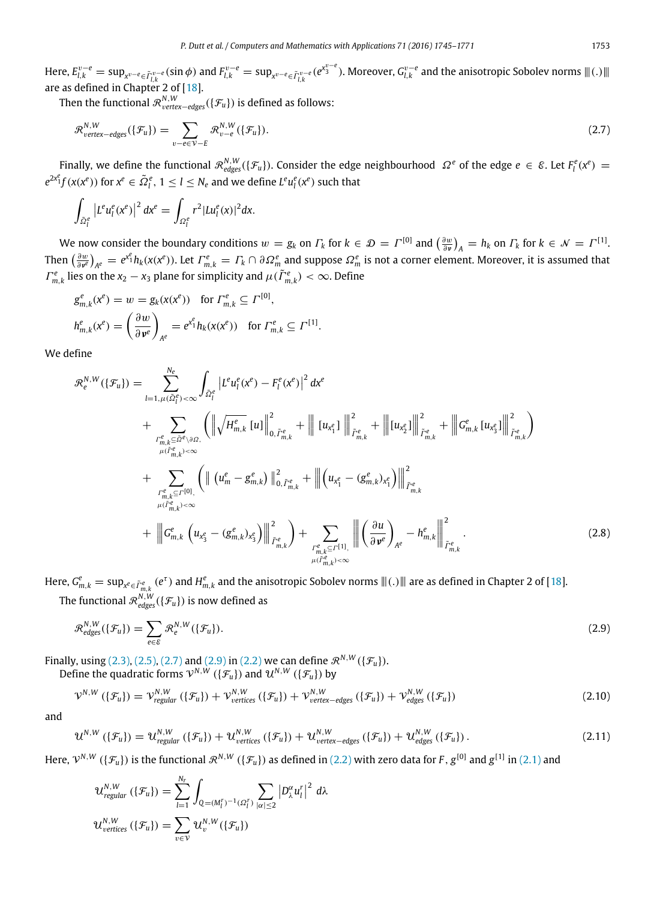Here,  $E_{l,k}^{v-e} = \sup_{x^v=e}\in \tilde r_{l,k}^{v-e}(\sin\phi)$  and  $F_{l,k}^{v-e} = \sup_{x^v=e}\in \tilde r_{l,k}^{v-e} (e^{x_3^{v-e}}).$  Moreover,  $G_{l,k}^{v-e}$  and the anisotropic Sobolev norms  $\| (.) \|$ are as defined in Chapter 2 of  $[18]$ .

Then the functional  $\mathcal{R}_{vertex-edges}^{N,W}(\{\mathcal{F}_u\})$  is defined as follows:

<span id="page-8-0"></span>
$$
\mathcal{R}_{vertex-edges}^{N,W}(\{\mathcal{F}_u\}) = \sum_{v-e\in\mathcal{V}-E} \mathcal{R}_{v-e}^{N,W}(\{\mathcal{F}_u\}).
$$
\n(2.7)

*Finally, we define the functional*  $\mathcal{R}^{N,W}_{edges}(\{\mathcal{F}_u\})$ *. Consider the edge neighbourhood Ω<sup><i>e*</sup> of the edge *e* ∈ *ε*. Let  $F_l^e(x^e) =$  $e^{2x_1^e}f(x(x^e))$  for  $x^e \in \tilde{\Omega}_l^e$ ,  $1 \leq l \leq N_e$  and we define  $L^e u_l^e(x^e)$  such that

$$
\int_{\tilde{\Omega}_l^e} \left| L^e u_l^e(x^e) \right|^2 dx^e = \int_{\Omega_l^e} r^2 |Lu_l^e(x)|^2 dx.
$$

We now consider the boundary conditions  $w = g_k$  on  $\Gamma_k$  for  $k \in \mathcal{D} = \Gamma^{[0]}$  and  $\left(\frac{\partial w}{\partial \nu}\right)_A = h_k$  on  $\Gamma_k$  for  $k \in \mathcal{N} = \Gamma^{[1]}$ . Then  $(\frac{\partial w}{\partial r^e})_{A^e}=e^{\chi_1^e}h_k(x(x^e)).$  Let  $\Gamma_{m,k}^e=\Gamma_k\cap\partial\Omega_m^e$  and suppose  $\Omega_m^e$  is not a corner element. Moreover, it is assumed that  $\Gamma^e_{m,k}$  lies on the  $x_2 - x_3$  plane for simplicity and  $\mu(\tilde{\Gamma}^e_{m,k}) < \infty$ . Define

$$
g_{m,k}^e(x^e) = w = g_k(x(x^e)) \text{ for } \Gamma_{m,k}^e \subseteq \Gamma^{[0]},
$$
  

$$
h_{m,k}^e(x^e) = \left(\frac{\partial w}{\partial v^e}\right)_{A^e} = e^{x_1^e} h_k(x(x^e)) \text{ for } \Gamma_{m,k}^e \subseteq \Gamma^{[1]}.
$$

We define

$$
\mathcal{R}_{e}^{N,W}(\{\mathcal{F}_{u}\}) = \sum_{l=1,\mu(\tilde{\Omega}_{l}^{e})<\infty}^{N_{e}} \int_{\tilde{\Omega}_{l}^{e}} |L^{e} u_{l}^{e}(x^{e}) - F_{l}^{e}(x^{e})|^{2} dx^{e} \n+ \sum_{\substack{r_{m,k}^{e} \subseteq \tilde{\Omega}^{e}\setminus\partial\Omega, \\ \mu(\tilde{\Gamma}_{m,k}^{e})<\infty}} \left( \left\| \sqrt{H_{m,k}^{e}} [u] \right\|_{0,\tilde{\Gamma}_{m,k}^{e}}^{2} + \left\| [u_{x_{1}^{e}}] \right\|_{\tilde{\Gamma}_{m,k}^{e}}^{2} + \left\| [u_{x_{2}^{e}}] \right\|_{\tilde{\Gamma}_{m,k}^{e}}^{2} + \left\| G_{m,k}^{e} [u_{x_{3}^{e}}] \right\|_{\tilde{\Gamma}_{m,k}^{e}}^{2} \right) \n+ \sum_{\substack{r_{m,k}^{e} \subseteq \tilde{\Gamma}^{[0]}, \\ \mu(\tilde{\Gamma}_{m,k}^{e})<\infty}} \left( \left\| (u_{m}^{e} - g_{m,k}^{e}) \right\|_{0,\tilde{\Gamma}_{m,k}^{e}}^{2} + \left\| (u_{x_{1}^{e}}^{e} - (g_{m,k}^{e})_{x_{1}^{e}}) \right\|_{\tilde{\Gamma}_{m,k}^{e}}^{2} \right) \n+ \left\| G_{m,k}^{e} \left( u_{x_{3}^{e}}^{e} - (g_{m,k}^{e})_{x_{3}^{e}} \right) \right\|_{\tilde{\Gamma}_{m,k}^{e}}^{2} \right) + \sum_{\substack{r_{m,k}^{e} \subseteq \tilde{\Gamma}^{[1]}, \\ \mu(\tilde{\Gamma}_{m,k}^{e})<\infty}} \left( \left\| (u_{m}^{e} - g_{m,k}^{e})_{x_{3}^{e}} \right) \right\|_{\tilde{\Gamma}_{m,k}^{e}}^{2} \right) \times \sum_{\substack{r_{m,k}^{e} \subseteq \tilde{\Gamma}^{[1]} \\ \mu(\tilde{\Gamma}_{m,k}^{e})<\infty}} \left( 2.8 \right)
$$
\n(2.8)

Here,  $G_{m,k}^e=\sup_{x^e\in\tilde{\varGamma}_{m,k}^e}(e^\tau)$  and  $H_{m,k}^e$  and the anisotropic Sobolev norms  $\|(\,.)\|$  are as defined in Chapter 2 of [\[18\]](#page-26-14). The functional  $\mathcal{R}^{N,W}_{edges}(\{\mathcal{F}_u\})$  is now defined as

<span id="page-8-1"></span>
$$
\mathcal{R}_{edges}^{N,W}(\{\mathcal{F}_u\}) = \sum_{e \in \mathcal{E}} \mathcal{R}_e^{N,W}(\{\mathcal{F}_u\}).
$$
\n(2.9)

Finally, using [\(2.3\),](#page-6-0) [\(2.5\),](#page-7-0) [\(2.7\)](#page-8-0) and [\(2.9\)](#page-8-1) in [\(2.2\)](#page-6-1) we can define  $\mathcal{R}^{N,W}(\{\mathcal{F}_u\})$ .<br>Define the quadratic forms  $\mathcal{V}^{N,W}(\{\mathcal{F}_u\})$  and  $\mathcal{U}^{N,W}(\{\mathcal{F}_u\})$  by

<span id="page-8-2"></span>
$$
\mathcal{V}^{N,W}(\{\mathcal{F}_u\}) = \mathcal{V}^{N,W}_{regular}(\{\mathcal{F}_u\}) + \mathcal{V}^{N,W}_{vertices}(\{\mathcal{F}_u\}) + \mathcal{V}^{N,W}_{vertex-edges}(\{\mathcal{F}_u\}) + \mathcal{V}^{N,W}_{edges}(\{\mathcal{F}_u\})
$$
(2.10)

and

<span id="page-8-3"></span>
$$
\mathcal{U}^{N,W}(\{\mathcal{F}_u\}) = \mathcal{U}^{N,W}_{regular}(\{\mathcal{F}_u\}) + \mathcal{U}^{N,W}_{vertices}(\{\mathcal{F}_u\}) + \mathcal{U}^{N,W}_{vertex-edges}(\{\mathcal{F}_u\}) + \mathcal{U}^{N,W}_{edges}(\{\mathcal{F}_u\}).
$$
\n(2.11)

Here,  $V^{N,W}(\{\mathcal{F}_u\})$  is the functional  $\mathcal{R}^{N,W}(\{\mathcal{F}_u\})$  as defined in [\(2.2\)](#page-6-1) with zero data for  $F, g^{[0]}$  and  $g^{[1]}$  in [\(2.1\)](#page-1-1) and

$$
\mathcal{U}_{regular}^{N,W}(\{\mathcal{F}_u\}) = \sum_{l=1}^{N_r} \int_{Q=(M_l^r)^{-1}(\Omega_l^r)} \sum_{|\alpha| \leq 2} |D_{\lambda}^{\alpha} u_l^r|^2 d\lambda
$$
  

$$
\mathcal{U}_{vertices}^{N,W}(\{\mathcal{F}_u\}) = \sum_{v \in V} \mathcal{U}_{v}^{N,W}(\{\mathcal{F}_u\})
$$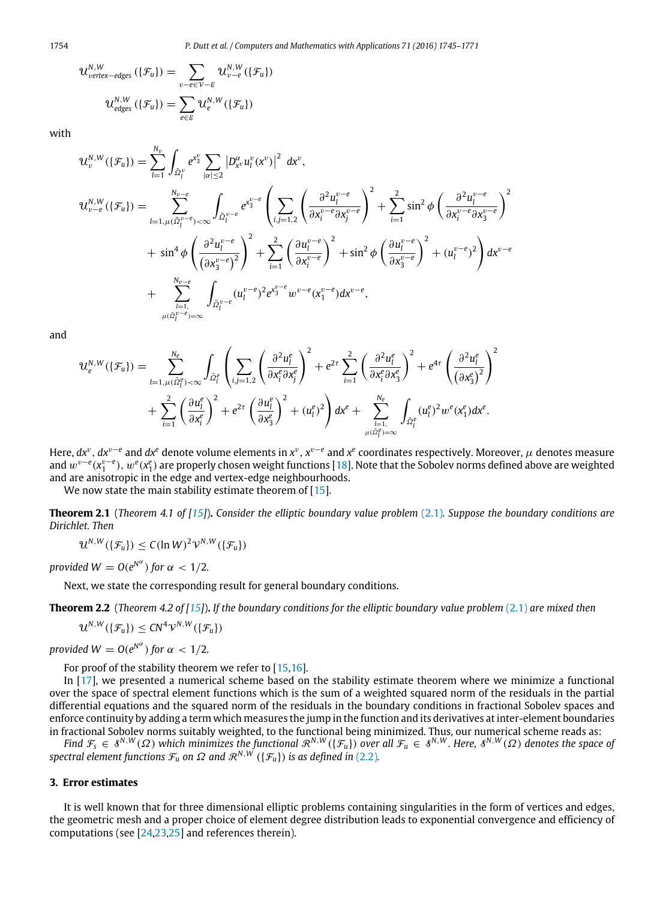$$
\mathcal{U}_{vertex-edges}^{N,W}\left(\{\mathcal{F}_u\}\right) = \sum_{v-e\in V-\mathcal{E}} \mathcal{U}_{v-\mathcal{e}}^{N,W}\left(\{\mathcal{F}_u\}\right)
$$

$$
\mathcal{U}_{edges}^{N,W}\left(\{\mathcal{F}_u\}\right) = \sum_{e\in \mathcal{E}} \mathcal{U}_e^{N,W}\left(\{\mathcal{F}_u\}\right)
$$

with

$$
u_v^{N,W}(\lbrace \mathcal{F}_u \rbrace) = \sum_{l=1}^{N_v} \int_{\tilde{\Omega}_l^v} e^{x_3^v} \sum_{|\alpha| \leq 2} \left| D_{x^v}^{\alpha} u_l^v(x^v) \right|^2 dx^v,
$$
  
\n
$$
u_{v-e}^{N,W}(\lbrace \mathcal{F}_u \rbrace) = \sum_{l=1, \mu(\tilde{\Omega}_l^v - e)}^{N_{v-e}} \int_{\tilde{\Omega}_l^v - e} e^{x_3^{v-e}} \left( \sum_{i,j=1,2} \left( \frac{\partial^2 u_l^{v-e}}{\partial x_i^{v-e} \partial x_j^{v-e}} \right)^2 + \sum_{i=1}^2 \sin^2 \phi \left( \frac{\partial^2 u_l^{v-e}}{\partial x_i^{v-e} \partial x_j^{v-e}} \right)^2 \right.
$$
  
\n
$$
+ \sin^4 \phi \left( \frac{\partial^2 u_l^{v-e}}{(\partial x_3^{v-e})^2} \right)^2 + \sum_{i=1}^2 \left( \frac{\partial u_l^{v-e}}{\partial x_i^{v-e}} \right)^2 + \sin^2 \phi \left( \frac{\partial u_l^{v-e}}{\partial x_3^{v-e}} \right)^2 + (u_l^{v-e})^2 \right) dx^{v-e}
$$
  
\n
$$
+ \sum_{\substack{l=1, \mu(\tilde{\Omega}_l^{v-e}) = \infty \\ \mu(\tilde{\Omega}_l^{v-e}) = \infty}}^{N_{v-e}} \int_{\tilde{\Omega}_l^{v-e}} (u_l^{v-e})^2 e^{x_3^{v-e}} w^{v-e}(x_1^{v-e}) dx^{v-e},
$$

and

$$
\begin{split} \mathcal{U}^{N,W}_{e}(\{\mathcal{F}_u\})=&\sum_{l=1,\mu(\tilde{\Omega}^e_l)<\infty}\int_{\tilde{\Omega}^e_l}\left(\sum_{i,j=1,2}\left(\frac{\partial^2 u^e_l}{\partial x^e_i\partial x^e_j}\right)^2+e^{2\tau}\sum_{i=1}^2\left(\frac{\partial^2 u^e_l}{\partial x^e_i\partial x^e_3}\right)^2+e^{4\tau}\left(\frac{\partial^2 u^e_l}{\left(\partial x^e_3\right)^2}\right)^2\right.\\ &+\left.\sum_{i=1}^2\left(\frac{\partial u^e_l}{\partial x^e_i}\right)^2+e^{2\tau}\left(\frac{\partial u^e_l}{\partial x^e_3}\right)^2+(u^e_l)^2\right)dx^e+\sum_{l=1,\atop \mu(\tilde{\Omega}^e_l)=\infty}\int_{\tilde{\Omega}^e_l}(u^e_l)^2w^e(x^e_l)dx^e. \end{split}
$$

Here, dx<sup>v</sup>, dx<sup>v−e</sup> and dx<sup>e</sup> denote volume elements in x<sup>v</sup>, x<sup>v−e</sup> and x<sup>e</sup> coordinates respectively. Moreover,  $\mu$  denotes measure and  $w^{v-e}(x_1^{v-e}), w^e(x_1^e)$  are properly chosen weight functions [\[18\]](#page-26-14). Note that the Sobolev norms defined above are weighted and are anisotropic in the edge and vertex-edge neighbourhoods.

We now state the main stability estimate theorem of  $[15]$ .

**Theorem 2.1** (*Theorem 4.1 of [\[15\]](#page-26-6)*)**.** *Consider the elliptic boundary value problem* [\(2.1\)](#page-1-1)*. Suppose the boundary conditions are Dirichlet. Then*

<span id="page-9-1"></span>
$$
\mathcal{U}^{N,W}(\{\mathcal{F}_u\}) \leq C(\ln W)^2 \mathcal{V}^{N,W}(\{\mathcal{F}_u\})
$$

*provided*  $W = O(e^{N^{\alpha}})$  *for*  $\alpha < 1/2$ *.* 

Next, we state the corresponding result for general boundary conditions.

**Theorem 2.2** (*Theorem 4.2 of [\[15\]](#page-26-6)*)**.** *If the boundary conditions for the elliptic boundary value problem* [\(2.1\)](#page-1-1) *are mixed then*

<span id="page-9-2"></span>
$$
\mathcal{U}^{N,W}(\{\mathcal{F}_u\}) \leq C N^4 \mathcal{V}^{N,W}(\{\mathcal{F}_u\})
$$

*provided*  $W = O(e^{N^{\alpha}})$  *for*  $\alpha < 1/2$ *.* 

For proof of the stability theorem we refer to [\[15,](#page-26-6)[16\]](#page-26-9).

In [\[17\]](#page-26-10), we presented a numerical scheme based on the stability estimate theorem where we minimize a functional over the space of spectral element functions which is the sum of a weighted squared norm of the residuals in the partial differential equations and the squared norm of the residuals in the boundary conditions in fractional Sobolev spaces and enforce continuity by adding a term which measures the jump in the function and its derivatives at inter-element boundaries in fractional Sobolev norms suitably weighted, to the functional being minimized. Thus, our numerical scheme reads as:

Find  $\mathcal{F}_s \in \mathcal{S}^{N,W}(\Omega)$  which minimizes the functional  $\mathcal{R}^{N,W}(\{\mathcal{F}_u\})$  over all  $\mathcal{F}_u \in \mathcal{S}^{N,W}$ . Here,  $\mathcal{S}^{N,W}(\Omega)$  denotes the space of *spectral element functions*  $\mathcal{F}_u$  *on*  $\Omega$  *and*  $\mathcal{R}^{N,W}(\{\mathcal{F}_u\})$  *is as defined in* [\(2.2\)](#page-6-1).

### <span id="page-9-0"></span>**3. Error estimates**

It is well known that for three dimensional elliptic problems containing singularities in the form of vertices and edges, the geometric mesh and a proper choice of element degree distribution leads to exponential convergence and efficiency of computations (see [\[24,](#page-26-15)[23](#page-26-13)[,25\]](#page-26-16) and references therein).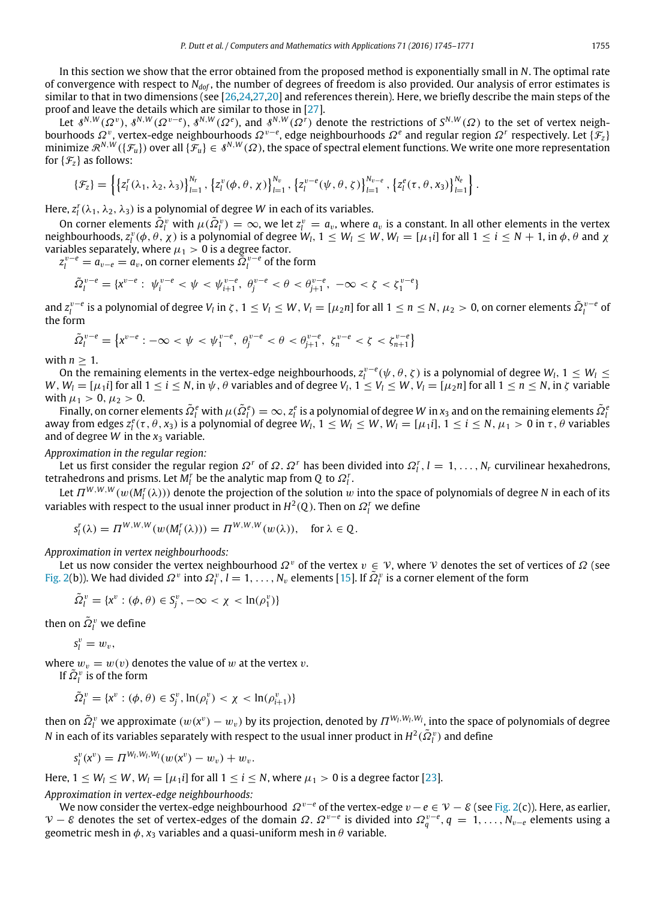In this section we show that the error obtained from the proposed method is exponentially small in *N*. The optimal rate of convergence with respect to *Ndof* , the number of degrees of freedom is also provided. Our analysis of error estimates is similar to that in two dimensions (see [\[26](#page-26-17)[,24,](#page-26-15)[27](#page-26-18)[,20\]](#page-26-8) and references therein). Here, we briefly describe the main steps of the proof and leave the details which are similar to those in [\[27\]](#page-26-18).

Let  $s^{N,W}(\Omega^v), s^{N,W}(\Omega^{v-e}), s^{N,W}(\Omega^e)$ , and  $s^{N,W}(\Omega^r)$  denote the restrictions of  $S^{N,W}(\Omega)$  to the set of vertex neighbourhoods  $Ω<sup>v</sup>$ , vertex-edge neighbourhoods  $Ω<sup>v-e</sup>$ , edge neighbourhoods  $Ω<sup>e</sup>$  and regular region  $Ω<sup>r</sup>$  respectively. Let { $\mathcal{F}_z$ }  $\min$ iminimize  $\mathcal{R}^{N,W}(\{\mathcal{F}_u\})$  over all  $\{\mathcal{F}_u\} \in \mathcal{S}^{N,W}(\Omega)$ , the space of spectral element functions. We write one more representation for  $\{F_{7}\}\$ as follows:

$$
\{\mathcal{F}_z\} = \left\{ \left\{ z_l^r(\lambda_1, \lambda_2, \lambda_3) \right\}_{l=1}^{N_r}, \left\{ z_l^v(\phi, \theta, \chi) \right\}_{l=1}^{N_v}, \left\{ z_l^{v-e}(\psi, \theta, \zeta) \right\}_{l=1}^{N_{v-e}}, \left\{ z_l^e(\tau, \theta, x_3) \right\}_{l=1}^{N_e} \right\}.
$$

Here,  $z_l^r(\lambda_1, \lambda_2, \lambda_3)$  is a polynomial of degree W in each of its variables.

On corner elements  $\tilde{\Omega}_l^v$  with  $\mu(\tilde{\Omega}_l^v) = \infty$ , we let  $z_l^v = a_v$ , where  $a_v$  is a constant. In all other elements in the vertex neighbourhoods,  $z_l^v(\phi, \theta, \chi)$  is a polynomial of degree  $W_l$ ,  $1 \leq W_l \leq W$ ,  $W_l = [\mu_1 i]$  for all  $1 \leq i \leq N + 1$ , in  $\phi$ ,  $\theta$  and  $\chi$ variables separately, where  $\mu_1 > 0$  is a degree factor.

 $z_l^{v-e} = a_{v-e} = a_v$ , on corner elements  $\tilde{\Omega}_l^{v-e}$  of the form

$$
\tilde{\Omega}^{v-e}_l = \{x^{v-e} : \psi^{v-e}_i < \psi < \psi^{v-e}_{i+1}, \ \theta^{v-e}_j < \theta < \theta^{v-e}_{j+1}, \ -\infty < \zeta < \zeta^{v-e}_1\}
$$

and  $z_l^{v-e}$  is a polynomial of degree  $V_l$  in  $\zeta$ ,  $1 \leq V_l \leq W$ ,  $V_l = [\mu_2 n]$  for all  $1 \leq n \leq N$ ,  $\mu_2 > 0$ , on corner elements  $\tilde{\Omega}_l^{v-e}$  of the form

$$
\tilde{\Omega}^{v-e}_l = \left\{ x^{v-e} : -\infty < \psi < \psi^{v-e}_1, \ \theta^{v-e}_j < \theta < \theta^{v-e}_{j+1}, \ \xi^{v-e}_n < \zeta < \xi^{v-e}_{n+1} \right\}
$$

with  $n > 1$ .

On the remaining elements in the vertex-edge neighbourhoods,  $z_l^{v-e}(\psi, \theta, \zeta)$  is a polynomial of degree  $W_l$ ,  $1 \leq W_l \leq$  $W, W_l = [\mu_1 i]$  for all  $1 \le i \le N$ , in  $\psi, \theta$  variables and of degree  $V_l, 1 \le V_l \le W, V_l = [\mu_2 n]$  for all  $1 \le n \le N$ , in  $\zeta$  variable with  $\mu_1 > 0, \mu_2 > 0$ .

Finally, on corner elements  $\tilde{\Omega}_l^e$  with  $\mu(\tilde{\Omega}_l^e) = \infty$ ,  $z_l^e$  is a polynomial of degree *W* in  $x_3$  and on the remaining elements  $\tilde{\Omega}_l^e$ away from edges  $z_l^e(\tau, \theta, x_3)$  is a polynomial of degree  $W_l$ ,  $1 \leq W_l \leq W$ ,  $W_l = [\mu_1 i]$ ,  $1 \leq i \leq N$ ,  $\mu_1 > 0$  in  $\tau$ ,  $\theta$  variables and of degree  $W$  in the  $x_3$  variable.

## *Approximation in the regular region:*

Let us first consider the regular region  $\Omega^r$  of  $\Omega$ .  $\Omega^r$  has been divided into  $\Omega^r_l$ ,  $l = 1, \ldots, N_r$  curvilinear hexahedrons, tetrahedrons and prisms. Let  $M_l^r$  be the analytic map from *Q* to  $\Omega_l^r$ .

Let  $\Pi^{W,W,W}(w(M^r_l(\lambda)))$  denote the projection of the solution  $w$  into the space of polynomials of degree  $N$  in each of its variables with respect to the usual inner product in  $H^2(Q)$ . Then on  $\Omega_l^r$  we define

$$
s_l^r(\lambda) = \Pi^{W,W,W}(w(M_l^r(\lambda))) = \Pi^{W,W,W}(w(\lambda)), \text{ for } \lambda \in \mathbb{Q}.
$$

*Approximation in vertex neighbourhoods:*

Let us now consider the vertex neighbourhood  $\Omega^v$  of the vertex  $v \in V$ , where V denotes the set of vertices of  $\Omega$  (see [Fig. 2\(](#page-4-0)b)). We had divided  $\Omega^v$  into  $\Omega^v_l$ ,  $l = 1, ..., N_v$  elements [\[15\]](#page-26-6). If  $\tilde{\Omega}^v_l$  is a corner element of the form

$$
\tilde{\Omega}_l^v = \{x^v : (\phi, \theta) \in S_j^v, -\infty < \chi < \ln(\rho_1^v)\}
$$

then on  $\tilde{\Omega}_{l}^{v}$  we define

 $s_l^v = w_v,$ 

where  $w_v = w(v)$  denotes the value of w at the vertex v.

If  $\tilde{\Omega}_{l}^{v}$  is of the form

$$
\tilde{\Omega}_{l}^{v} = \{x^{v} : (\phi, \theta) \in S_{j}^{v}, \ln(\rho_{i}^{v}) < \chi < \ln(\rho_{i+1}^{v})\}
$$

then on  $\tilde{\Omega}^v_l$  we approximate  $(w(x^v) - w_v)$  by its projection, denoted by  $\Pi^{W_l,W_l,W_l}$ , into the space of polynomials of degree  $N$  in each of its variables separately with respect to the usual inner product in  $H^2(\tilde{\Omega}^v_l)$  and define

$$
s_l^v(x^v) = \Pi^{W_l, W_l, W_l}(w(x^v) - w_v) + w_v.
$$

Here,  $1 \leq W_l \leq W$ ,  $W_l = [\mu_1 i]$  for all  $1 \leq i \leq N$ , where  $\mu_1 > 0$  is a degree factor [\[23\]](#page-26-13).

*Approximation in vertex-edge neighbourhoods:*

We now consider the vertex-edge neighbourhood  $\Omega^{v-e}$  of the vertex-edge  $v-e \in V - E$  (see [Fig. 2\(](#page-4-0)c)). Here, as earlier,  $V - E$  denotes the set of vertex-edges of the domain Ω.  $Q^{v-e}$  is divided into  $Q_q^{v-e}$ ,  $q = 1, ..., N_{v-e}$  elements using a geometric mesh in  $\phi$ ,  $x_3$  variables and a quasi-uniform mesh in  $\theta$  variable.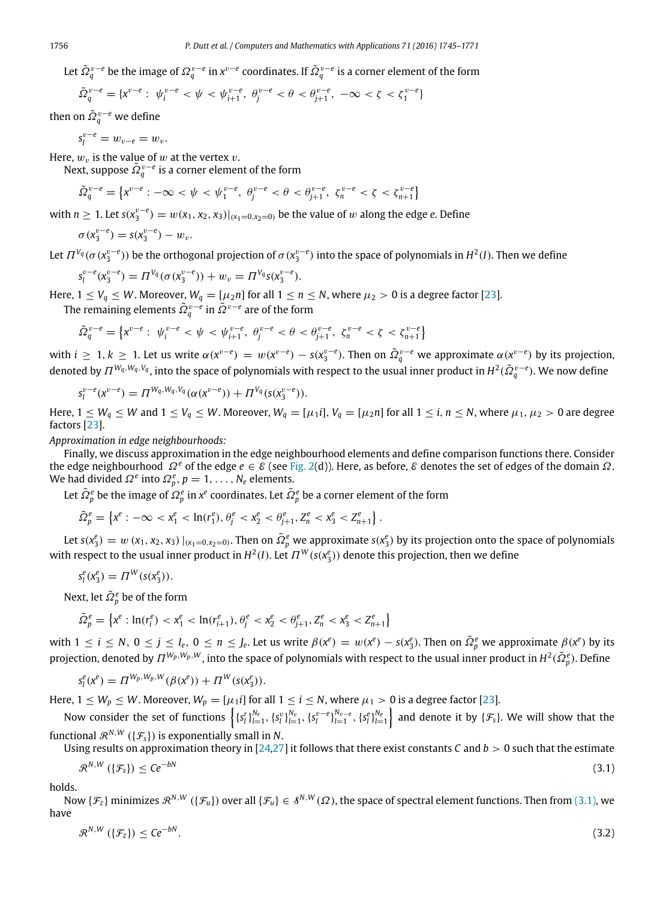Let  $\tilde\Omega_q^{v-e}$  be the image of  $\Omega_q^{v-e}$  in  $x^{v-e}$  coordinates. If  $\tilde\Omega_q^{v-e}$  is a corner element of the form

$$
\tilde{\Omega}_q^{v-e} = \{x^{v-e} : \psi_i^{v-e} < \psi < \psi_{i+1}^{v-e}, \theta_j^{v-e} < \theta < \theta_{j+1}^{v-e}, \ -\infty < \zeta < \zeta_1^{v-e}\}
$$

then on  $\tilde{\Omega}^{v-e}_{q}$  we define

$$
s_l^{v-e}=w_{v-e}=w_v.
$$

Here,  $w_v$  is the value of w at the vertex v.

Next, suppose  $\tilde{\Omega}^{v-e}_{q}$  is a corner element of the form

$$
\tilde{\Omega}_q^{v-e} = \left\{ x^{v-e} : -\infty < \psi < \psi_1^{v-e}, \ \theta_j^{v-e} < \theta < \theta_{j+1}^{v-e}, \ \zeta_n^{v-e} < \zeta < \zeta_{n+1}^{v-e} \right\}
$$

 $with n ≥ 1.$  Let  $s(x_3^{v-e}) = w(x_1, x_2, x_3)|_{(x_1=0, x_2=0)}$  be the value of w along the edge *e*. Define

$$
\sigma(x_3^{v-e})=s(x_3^{v-e})-w_v.
$$

Let  $\Pi^{V_q}(\sigma(x_3^{v-e}))$  be the orthogonal projection of  $\sigma(x_3^{v-e})$  into the space of polynomials in  $H^2(I).$  Then we define

$$
s_l^{v-e}(x_3^{v-e}) = \Pi^{V_q}(\sigma(x_3^{v-e})) + w_v = \Pi^{V_q} s(x_3^{v-e}).
$$

Here,  $1 \leq V_q \leq W$ . Moreover,  $W_q = [\mu_2 n]$  for all  $1 \leq n \leq N$ , where  $\mu_2 > 0$  is a degree factor [\[23\]](#page-26-13). The remaining elements  $\tilde{\Omega}^{v-e}_{q}$  in  $\tilde{\Omega}^{v-e}$  are of the form

$$
\tilde{\Omega}_q^{v-e} = \left\{ x^{v-e} : \psi_i^{v-e} < \psi < \psi_{i+1}^{v-e}, \theta_j^{v-e} < \theta < \theta_{j+1}^{v-e}, \xi_n^{v-e} < \zeta < \xi_{n+1}^{v-e} \right\}
$$

with  $i \geq 1$ ,  $k \geq 1$ . Let us write  $\alpha(x^{v-e}) = w(x^{v-e}) - s(x_3^{v-e})$ . Then on  $\tilde{\Omega}_q^{v-e}$  we approximate  $\alpha(x^{v-e})$  by its projection, denoted by  $\Pi^{W_q,W_q,V_q}$ , into the space of polynomials with respect to the usual inner product in  $H^2(\tilde{\Omega}^{v-e}_q).$  We now define

$$
s_l^{v-e}(x^{v-e}) = \Pi^{W_q, W_q, V_q}(\alpha(x^{v-e})) + \Pi^{V_q}(s(x_3^{v-e})).
$$

Here,  $1 \leq W_q \leq W$  and  $1 \leq V_q \leq W$ . Moreover,  $W_q = [\mu_1 i]$ ,  $V_q = [\mu_2 n]$  for all  $1 \leq i, n \leq N$ , where  $\mu_1, \mu_2 > 0$  are degree factors [\[23\]](#page-26-13).

*Approximation in edge neighbourhoods:*

Finally, we discuss approximation in the edge neighbourhood elements and define comparison functions there. Consider the edge neighbourhood <sup>Ω</sup>*<sup>e</sup>* of the edge *<sup>e</sup>* ∈ <sup>E</sup> (see [Fig. 2\(](#page-4-0)d)). Here, as before, <sup>E</sup> denotes the set of edges of the domain <sup>Ω</sup>. We had divided  $\Omega^e$  into  $\Omega_p^e$ ,  $p = 1, \ldots, N_e$  elements.

Let  $\tilde{\Omega}^e_p$  be the image of  $\Omega^e_p$  in  $x^e$  coordinates. Let  $\tilde{\Omega}^e_p$  be a corner element of the form

$$
\tilde{\Omega}_p^e = \left\{ x^e : -\infty < x_1^e < \ln(r_1^e), \theta_j^e < x_2^e < \theta_{j+1}^e, Z_n^e < x_3^e < Z_{n+1}^e \right\}.
$$

Let  $s(x_3^e) = w(x_1, x_2, x_3)|_{(x_1=0, x_2=0)}$ . Then on  $\tilde{\Omega}_p^e$  we approximate  $s(x_3^e)$  by its projection onto the space of polynomials with respect to the usual inner product in  $H^2(I)$ . Let  $\Pi^W(s(x^e_j))$  denote this projection, then we define

$$
s_l^e(x_3^e) = \Pi^W(s(x_3^e)).
$$

Next, let  $\tilde{\Omega}^e_p$  be of the form

$$
\tilde{\Omega}_p^e = \left\{ x^e : \ln(r_i^e) < x_1^e < \ln(r_{i+1}^e), \theta_j^e < x_2^e < \theta_{j+1}^e, Z_n^e < x_3^e < Z_{n+1}^e \right\}
$$

with  $1 \le i \le N$ ,  $0 \le j \le I_e$ ,  $0 \le n \le J_e$ . Let us write  $\beta(x^e) = w(x^e) - s(x^e_3)$ . Then on  $\tilde{\Omega}_p^e$  we approximate  $\beta(x^e)$  by its projection, denoted by  $\pi^{w_p,w_p,w}$ , into the space of polynomials with respect to the usual inner product in  $H^2(\tilde{\Omega}^e_p)$ . Define

$$
s_l^e(x^e) = \Pi^{W_p, W_p, W}(\beta(x^e)) + \Pi^W(s(x_3^e)).
$$

Here,  $1 \leq W_p \leq W$ . Moreover,  $W_p = [\mu_1 i]$  for all  $1 \leq i \leq N$ , where  $\mu_1 > 0$  is a degree factor [\[23\]](#page-26-13).

Now consider the set of functions  $\left\{ \{s_l^r\}_{l=1}^{N_r}, \{s_l^v\}_{l=1}^{N_v}, \{s_l^v\}_{l=1}^{N_v-e}, \{s_l^e\}_{l=1}^{N_e} \right\}$ and denote it by  $\{\mathcal{F}_s\}$ . We will show that the functional  $\mathcal{R}^{N,W}(\{\mathcal{F}_s\})$  is exponentially small in N.

Using results on approximation theory in  $[24,27]$  $[24,27]$  it follows that there exist constants *C* and *b* > 0 such that the estimate

<span id="page-11-0"></span>
$$
\mathcal{R}^{N,W}(\{\mathcal{F}_s\}) \leq C e^{-bN} \tag{3.1}
$$

holds.

Now  $\{\mathcal{F}_z\}$  minimizes  $\mathcal{R}^{N,W}(\{\mathcal{F}_u\})$  over all  $\{\mathcal{F}_u\}\in\mathcal{S}^{N,W}(\Omega)$ , the space of spectral element functions. Then from [\(3.1\),](#page-11-0) we have

<span id="page-11-1"></span>
$$
\mathcal{R}^{N,W}(\{\mathcal{F}_z\}) \leq C e^{-bN}.\tag{3.2}
$$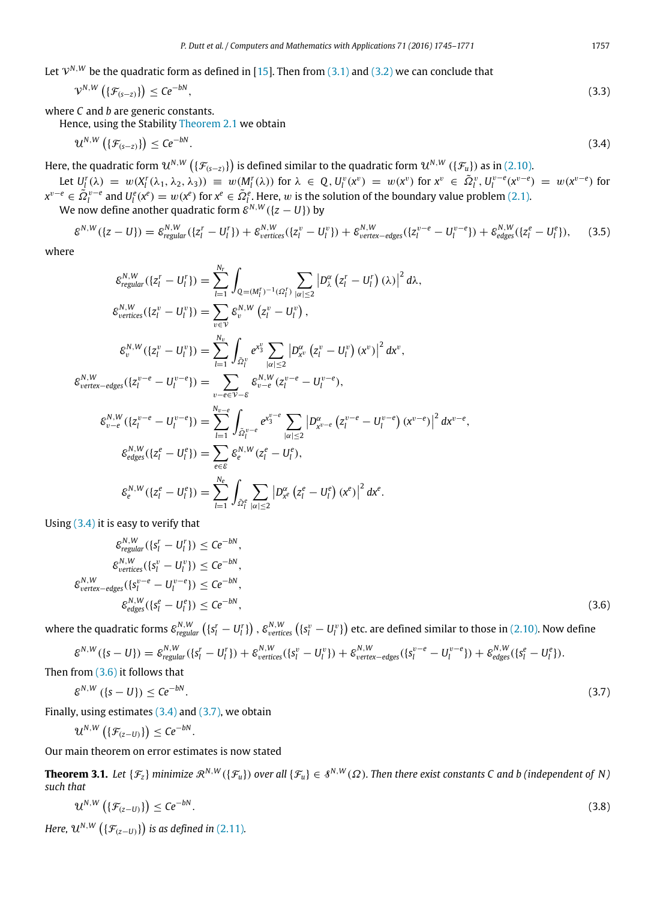Let  $\mathcal{V}^{N,W}$  be the quadratic form as defined in [\[15\]](#page-26-6). Then from [\(3.1\)](#page-11-0) and [\(3.2\)](#page-11-1) we can conclude that

$$
\mathcal{V}^{N,W}\left(\{\mathcal{F}_{(s-2)}\}\right) \leq C e^{-bN},\tag{3.3}
$$

where *C* and *b* are generic constants.

Hence, using the Stability [Theorem 2.1](#page-9-1) we obtain

<span id="page-12-0"></span>
$$
\mathcal{U}^{N,W}\left(\{\mathcal{F}_{(s-z)}\}\right) \leq Ce^{-bN}.\tag{3.4}
$$

Here, the quadratic form  $\mathcal{U}^{N,W}\left(\{\mathcal{F}_{(s-z)}\}\right)$  is defined similar to the quadratic form  $\mathcal{U}^{N,W}\left(\{\mathcal{F}_u\}\right)$  as in [\(2.10\).](#page-8-2)

Let  $U^r_l(\lambda) = w(X^r_l(\lambda_1, \lambda_2, \lambda_3)) \equiv w(M^r_l(\lambda))$  for  $\lambda \in Q$ ,  $U^v_l(x^v) = w(x^v)$  for  $x^v \in \tilde{\Omega}^v_l$ ,  $U^{v-e}_l(x^{v-e}) = w(x^{v-e})$  for  $x^{v-e} \in \tilde{\Omega}_l^{v-e}$  and  $U_l^e(x^e) = w(x^e)$  for  $x^e \in \tilde{\Omega}_l^e$ . Here, w is the solution of the boundary value problem [\(2.1\).](#page-1-1) We now define another quadratic form  $\mathcal{E}^{N,W}(\lbrace z-U \rbrace)$  by

$$
\mathcal{E}^{N,W}(\{z-U\}) = \mathcal{E}_{\text{regular}}^{N,W}(\{z_l^r - U_l^r\}) + \mathcal{E}_{\text{vertices}}^{N,W}(\{z_l^v - U_l^v\}) + \mathcal{E}_{\text{vertex-edges}}^{N,W}(\{z_l^{v-e} - U_l^{v-e}\}) + \mathcal{E}_{\text{edges}}^{N,W}(\{z_l^e - U_l^e\}),
$$
(3.5)

where

$$
\mathcal{E}_{regular}^{N,W}(\{z_{I}^{r}-U_{I}^{r}\})=\sum_{l=1}^{N_{r}}\int_{Q=(M_{I}^{r})^{-1}(\Omega_{I}^{r})}\sum_{|\alpha|\leq2}|D_{\lambda}^{\alpha}(z_{I}^{r}-U_{I}^{r})(\lambda)|^{2} d\lambda,
$$
\n
$$
\mathcal{E}_{vertices}^{N,W}(\{z_{I}^{v}-U_{I}^{v}\})=\sum_{v\in V}\mathcal{E}_{v}^{N,W}(z_{I}^{v}-U_{I}^{v}),
$$
\n
$$
\mathcal{E}_{v}^{N,W}(\{z_{I}^{v}-U_{I}^{v}\})=\sum_{l=1}^{N_{v}}\int_{\tilde{\Omega}_{I}^{v}}e^{x_{3}^{v}}\sum_{|\alpha|\leq2}|D_{x}^{\alpha}(z_{I}^{v}-U_{I}^{v})(x^{v})|^{2} dx^{v},
$$
\n
$$
\mathcal{E}_{vertex-edges}^{N,W}(\{z_{I}^{v-e}-U_{I}^{v-e}\})=\sum_{v-e\in V-\varepsilon}\mathcal{E}_{v-e}^{N,W}(z_{I}^{v-e}-U_{I}^{v-e}),
$$
\n
$$
\mathcal{E}_{v-e}^{N,W}(\{z_{I}^{v-e}-U_{I}^{v-e}\})=\sum_{l=1}^{N_{v-e}}\int_{\tilde{\Omega}_{I}^{v-e}}e^{x_{3}^{v-e}}\sum_{|\alpha|\leq2}|D_{x^{v-e}}^{\alpha}(z_{I}^{v-e}-U_{I}^{v-e})(x^{v-e})|^{2} dx^{v-e},
$$
\n
$$
\mathcal{E}_{edges}^{N,W}(\{z_{I}^{e}-U_{I}^{e}\})=\sum_{e\in\mathcal{E}}\mathcal{E}_{e}^{N,W}(z_{I}^{e}-U_{I}^{e}),
$$
\n
$$
\mathcal{E}_{e}^{N,W}(\{z_{I}^{e}-U_{I}^{e}\})=\sum_{l=1}^{N_{e}}\int_{\tilde{\Omega}_{I}^{e}}\sum_{|\alpha|\leq2}|D_{x}^{\alpha}(z_{I}^{e}-U_{I}^{e})(x^{e})|^{2} dx^{e}.
$$

Using  $(3.4)$  it is easy to verify that

$$
\mathcal{E}_{regular}^{N,W}(\{s_l^r - U_l^r\}) \le Ce^{-bN},
$$
\n
$$
\mathcal{E}_{vertices}^{N,W}(\{s_l^v - U_l^v\}) \le Ce^{-bN},
$$
\n
$$
\mathcal{E}_{vertex-edges}^{N,W}(\{s_l^v - U_l^v - e\}) \le Ce^{-bN},
$$
\n
$$
\mathcal{E}_{edges}^{N,W}(\{s_l^e - U_l^e\}) \le Ce^{-bN},
$$
\n(3.6)

where the quadratic forms  $\mathcal{E}^{N,W}_{regular}\left(\{s^r_l-U^r_l\}\right),\ \mathcal{E}^{N,W}_{vertices}\left(\{s^v_l-U^v_l\}\right)$  etc. are defined similar to those in [\(2.10\).](#page-8-2) Now define

<span id="page-12-1"></span>
$$
\mathcal{E}^{N,W}(\{s-U\})=\mathcal{E}^{N,W}_{regular}(\{s^r_l-U^r_l\})+\mathcal{E}^{N,W}_{vertices}(\{s^v_l-U^v_l\})+\mathcal{E}^{N,W}_{vertex-edges}(\{s^v_l-e-U^{v-e}_l\})+\mathcal{E}^{N,W}_{edges}(\{s^e_l-U^e_l\}).
$$

Then from [\(3.6\)](#page-12-1) it follows that

<span id="page-12-2"></span>
$$
\mathcal{E}^{N,W}(\{s-U\}) \leq Ce^{-bN}.\tag{3.7}
$$

Finally, using estimates  $(3.4)$  and  $(3.7)$ , we obtain

<span id="page-12-3"></span>
$$
\mathcal{U}^{N,W}\left(\{\mathcal{F}_{(z-U)}\}\right)\leq Ce^{-bN}.
$$

Our main theorem on error estimates is now stated

**Theorem 3.1.** Let  $\{\mathcal{F}_z\}$  minimize  $\mathcal{R}^{N,W}(\{\mathcal{F}_u\})$  over all  $\{\mathcal{F}_u\} \in \mathcal{S}^{N,W}(\Omega)$ . Then there exist constants C and b (independent of N) *such that*

$$
u^{N,W}\left(\{\mathcal{F}_{(z-U)}\}\right) \leq Ce^{-bN}.\tag{3.8}
$$

Here,  $\mathcal{U}^{N,W}\left(\{\mathcal{F}_{(z-U)}\}\right)$  is as defined in [\(2.11\)](#page-8-3).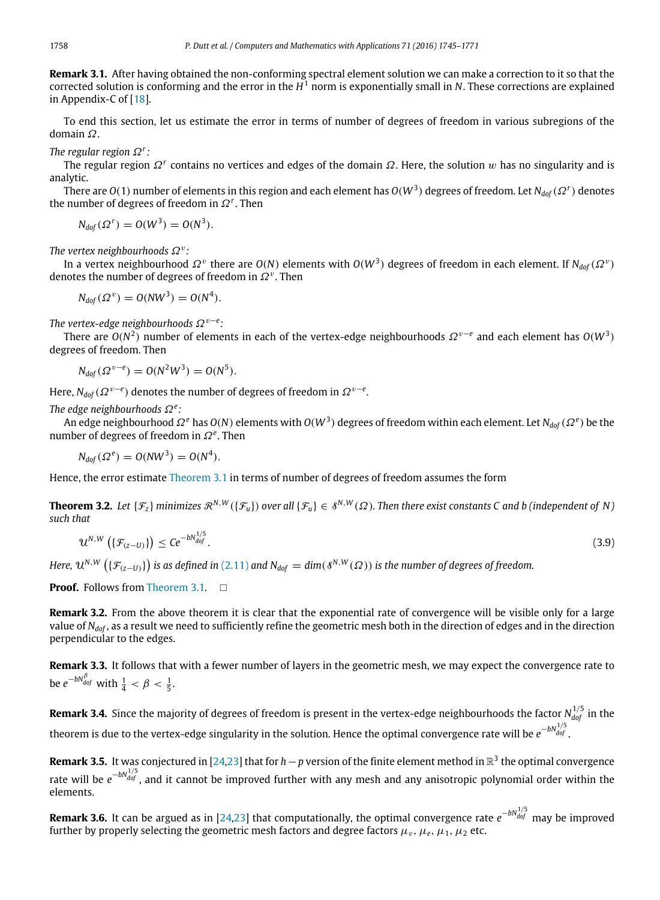**Remark 3.1.** After having obtained the non-conforming spectral element solution we can make a correction to it so that the corrected solution is conforming and the error in the H<sup>1</sup> norm is exponentially small in N. These corrections are explained in Appendix-C of [\[18\]](#page-26-14).

To end this section, let us estimate the error in terms of number of degrees of freedom in various subregions of the domain Ω.

*The regular region* Ω*<sup>r</sup> :*

The regular region  $\Omega^r$  contains no vertices and edges of the domain  $\Omega.$  Here, the solution  $w$  has no singularity and is analytic.

There are *O*(1) number of elements in this region and each element has *O*(*W*<sup>3</sup> ) degrees of freedom. Let *Ndof*(Ω*<sup>r</sup>* ) denotes the number of degrees of freedom in Ω*<sup>r</sup>* . Then

 $N_{dof}(\Omega^r) = O(W^3) = O(N^3).$ 

*The vertex neighbourhoods Ω<sup>v</sup>:* 

In a vertex neighbourhood  $\Omega^v$  there are  $O(N)$  elements with  $O(W^3)$  degrees of freedom in each element. If  $N_{dof}(\Omega^v)$ denotes the number of degrees of freedom in  $\Omega^v$ . Then

$$
N_{dof}(\Omega^v) = O(NW^3) = O(N^4).
$$

*The vertex-edge neighbourhoods* Ωv−*<sup>e</sup> :*

There are O(N<sup>2</sup>) number of elements in each of the vertex-edge neighbourhoods Ω<sup>v−e</sup> and each element has O(W<sup>3</sup>) degrees of freedom. Then

$$
N_{dof}(\Omega^{v-e}) = O(N^2W^3) = O(N^5).
$$

Here,  $N_{dof}(\Omega^{v-e})$  denotes the number of degrees of freedom in  $\Omega^{v-e}$ .

*The edge neighbourhoods* Ω*<sup>e</sup> :*

An edge neighbourhood Ω*<sup>e</sup>* has *O*(*N*) elements with *O*(*W*<sup>3</sup> ) degrees of freedom within each element. Let *Ndof*(Ω*<sup>e</sup>* ) be the number of degrees of freedom in Ω*<sup>e</sup>* . Then

 $N_{dof}(\Omega^e) = O(NW^3) = O(N^4).$ 

Hence, the error estimate [Theorem 3.1](#page-12-3) in terms of number of degrees of freedom assumes the form

**Theorem 3.2.** Let  $\{\mathcal{F}_z\}$  minimizes  $\mathcal{R}^{N,W}(\{\mathcal{F}_u\})$  over all  $\{\mathcal{F}_u\} \in \mathcal{S}^{N,W}(\Omega)$ . Then there exist constants C and b (independent of N) *such that*

$$
\mathcal{U}^{N,W}\left(\{\mathcal{F}_{(z-U)}\}\right) \leq C e^{-bN_{dof}^{1/5}}.\tag{3.9}
$$

*Here,*  $u^{N,W}(\{\mathcal{F}_{(z-U)}\})$  *is as defined in*  $(2.11)$  *and*  $N_{dof}=dim(\mathcal{S}^{N,W}(\Omega))$  *is the number of degrees of freedom.* 

**Proof.** Follows from [Theorem 3.1.](#page-12-3) □

**Remark 3.2.** From the above theorem it is clear that the exponential rate of convergence will be visible only for a large value of *Ndof* , as a result we need to sufficiently refine the geometric mesh both in the direction of edges and in the direction perpendicular to the edges.

**Remark 3.3.** It follows that with a fewer number of layers in the geometric mesh, we may expect the convergence rate to be  $e^{-bN_{dof}^{\beta}}$  with  $\frac{1}{4} < \beta < \frac{1}{5}$ .

**Remark 3.4.** Since the majority of degrees of freedom is present in the vertex-edge neighbourhoods the factor *N* 1/5 *dof* in the theorem is due to the vertex-edge singularity in the solution. Hence the optimal convergence rate will be *e* −*bN*1/<sup>5</sup> *dof* .

**Remark 3.5.** It was conjectured in [\[24](#page-26-15)[,23\]](#page-26-13) that for *h* − *p* version of the finite element method in  $\mathbb{R}^3$  the optimal convergence rate will be *e* −*bN*1/<sup>5</sup> *dof* , and it cannot be improved further with any mesh and any anisotropic polynomial order within the elements.

**Remark 3.6.** It can be argued as in [\[24](#page-26-15)[,23\]](#page-26-13) that computationally, the optimal convergence rate *e* −*bN*1/<sup>5</sup> *dof* may be improved further by properly selecting the geometric mesh factors and degree factors  $\mu_v$ ,  $\mu_e$ ,  $\mu_1$ ,  $\mu_2$  etc.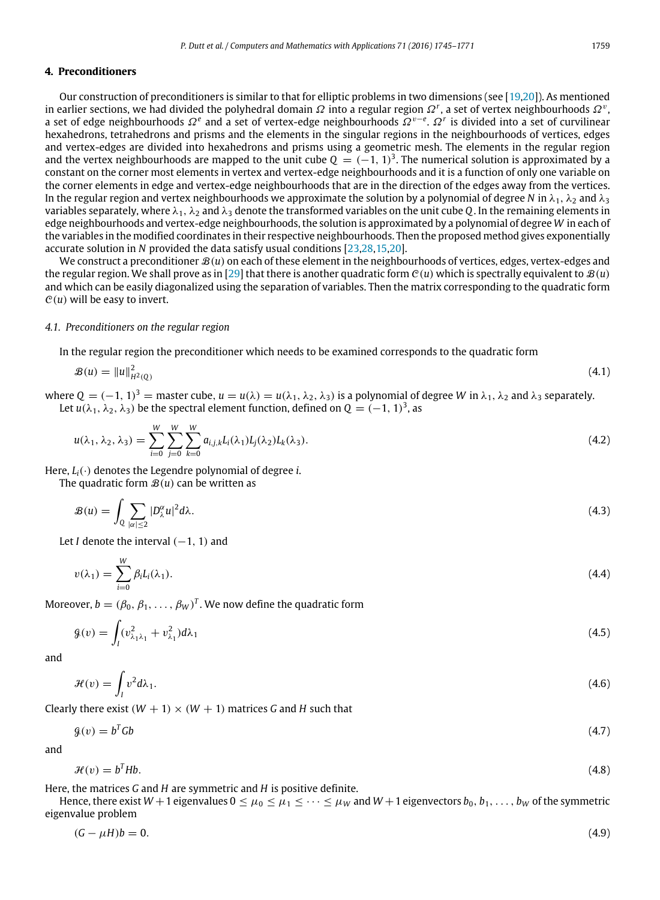### <span id="page-14-0"></span>**4. Preconditioners**

Our construction of preconditioners is similar to that for elliptic problems in two dimensions (see [\[19](#page-26-7)[,20\]](#page-26-8)). As mentioned in earlier sections, we had divided the polyhedral domain  $\Omega$  into a regular region  $\Omega^r$ , a set of vertex neighbourhoods  $\Omega^v$ , a set of edge neighbourhoods Ω<sup>e</sup> and a set of vertex-edge neighbourhoods Ω<sup>v−e</sup>. Ω<sup>r</sup> is divided into a set of curvilinear hexahedrons, tetrahedrons and prisms and the elements in the singular regions in the neighbourhoods of vertices, edges and vertex-edges are divided into hexahedrons and prisms using a geometric mesh. The elements in the regular region and the vertex neighbourhoods are mapped to the unit cube  $Q = (-1, 1)^3$ . The numerical solution is approximated by a constant on the corner most elements in vertex and vertex-edge neighbourhoods and it is a function of only one variable on the corner elements in edge and vertex-edge neighbourhoods that are in the direction of the edges away from the vertices. In the regular region and vertex neighbourhoods we approximate the solution by a polynomial of degree *N* in  $\lambda_1$ ,  $\lambda_2$  and  $\lambda_3$ variables separately, where  $\lambda_1, \lambda_2$  and  $\lambda_3$  denote the transformed variables on the unit cube *Q*. In the remaining elements in edge neighbourhoods and vertex-edge neighbourhoods, the solution is approximated by a polynomial of degree *W* in each of the variables in the modified coordinates in their respective neighbourhoods. Then the proposed method gives exponentially accurate solution in *N* provided the data satisfy usual conditions [\[23](#page-26-13)[,28,](#page-26-19)[15](#page-26-6)[,20\]](#page-26-8).

We construct a preconditioner  $B(u)$  on each of these element in the neighbourhoods of vertices, edges, vertex-edges and the regular region. We shall prove as in [\[29\]](#page-26-20) that there is another quadratic form  $\mathcal{C}(u)$  which is spectrally equivalent to  $\mathcal{B}(u)$ and which can be easily diagonalized using the separation of variables. Then the matrix corresponding to the quadratic form  $C(u)$  will be easy to invert.

#### *4.1. Preconditioners on the regular region*

In the regular region the preconditioner which needs to be examined corresponds to the quadratic form

<span id="page-14-2"></span>
$$
\mathcal{B}(u) = \|u\|_{H^2(Q)}^2 \tag{4.1}
$$

where  $Q = (-1, 1)^3$  = master cube,  $u = u(\lambda_1, \lambda_2, \lambda_3)$  is a polynomial of degree *W* in  $\lambda_1, \lambda_2$  and  $\lambda_3$  separately. Let  $u(\lambda_1, \lambda_2, \lambda_3)$  be the spectral element function, defined on  $Q = (-1, 1)^3$ , as

<span id="page-14-1"></span>
$$
u(\lambda_1, \lambda_2, \lambda_3) = \sum_{i=0}^{W} \sum_{j=0}^{W} \sum_{k=0}^{W} a_{i,j,k} L_i(\lambda_1) L_j(\lambda_2) L_k(\lambda_3).
$$
 (4.2)

Here,  $L_i(\cdot)$  denotes the Legendre polynomial of degree *i*.

The quadratic form  $\mathcal{B}(u)$  can be written as

$$
\mathcal{B}(u) = \int_{Q} \sum_{|\alpha| \le 2} |D^{\alpha}_{\lambda} u|^2 d\lambda. \tag{4.3}
$$

Let *I* denote the interval  $(-1, 1)$  and

$$
v(\lambda_1) = \sum_{i=0}^{W} \beta_i L_i(\lambda_1). \tag{4.4}
$$

Moreover,  $b = (\beta_0, \beta_1, \dots, \beta_W)^T$ . We now define the quadratic form

$$
\mathcal{G}(v) = \int_{I} (v_{\lambda_1 \lambda_1}^2 + v_{\lambda_1}^2) d\lambda_1 \tag{4.5}
$$

and

<span id="page-14-4"></span><span id="page-14-3"></span>
$$
\mathcal{H}(v) = \int_{I} v^2 d\lambda_1. \tag{4.6}
$$

Clearly there exist  $(W + 1) \times (W + 1)$  matrices *G* and *H* such that

$$
\mathcal{G}(v) = b^T G b \tag{4.7}
$$

and

$$
\mathcal{H}(v) = b^T H b. \tag{4.8}
$$

Here, the matrices *G* and *H* are symmetric and *H* is positive definite.

Hence, there exist  $W + 1$  eigenvalues  $0 \le \mu_0 \le \mu_1 \le \cdots \le \mu_W$  and  $W + 1$  eigenvectors  $b_0, b_1, \ldots, b_W$  of the symmetric eigenvalue problem

$$
(G - \mu H)b = 0.\t\t(4.9)
$$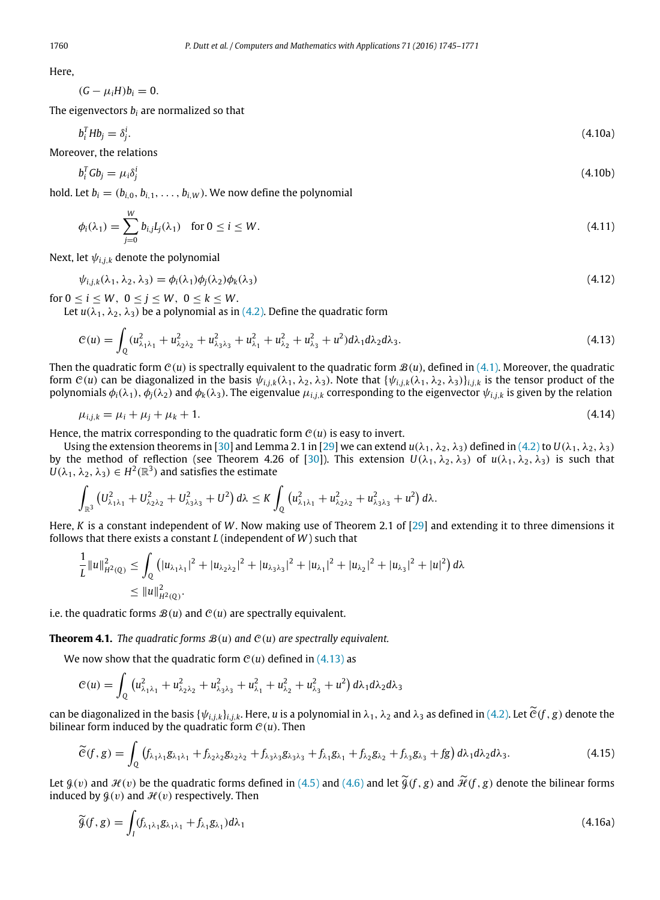Here,

$$
(G-\mu_iH)b_i=0.
$$

The eigenvectors  $b_i$  are normalized so that

<span id="page-15-2"></span>
$$
b_i^T H b_j = \delta_j^i. \tag{4.10a}
$$

Moreover, the relations

 $\overline{1}$ 

<span id="page-15-3"></span>
$$
b_i^T G b_j = \mu_i \delta_j^i \tag{4.10b}
$$

hold. Let  $b_i = (b_{i,0}, b_{i,1}, \ldots, b_{i,W})$ . We now define the polynomial

<span id="page-15-1"></span>
$$
\phi_i(\lambda_1) = \sum_{j=0}^{W} b_{i,j} L_j(\lambda_1) \quad \text{for } 0 \le i \le W. \tag{4.11}
$$

Next, let  $\psi_{i,j,k}$  denote the polynomial

$$
\psi_{i,j,k}(\lambda_1,\lambda_2,\lambda_3)=\phi_i(\lambda_1)\phi_j(\lambda_2)\phi_k(\lambda_3)
$$
\n(4.12)

for  $0 \le i \le W$ ,  $0 \le j \le W$ ,  $0 \le k \le W$ .

Let  $u(\lambda_1, \lambda_2, \lambda_3)$  be a polynomial as in [\(4.2\).](#page-14-1) Define the quadratic form

<span id="page-15-0"></span>
$$
C(u) = \int_{Q} (u_{\lambda_1\lambda_1}^2 + u_{\lambda_2\lambda_2}^2 + u_{\lambda_3\lambda_3}^2 + u_{\lambda_1}^2 + u_{\lambda_2}^2 + u_{\lambda_3}^2 + u^2) d\lambda_1 d\lambda_2 d\lambda_3.
$$
 (4.13)

Then the quadratic form  $\mathcal{C}(u)$  is spectrally equivalent to the quadratic form  $\mathcal{B}(u)$ , defined in [\(4.1\).](#page-14-2) Moreover, the quadratic form  $\mathcal{C}(u)$  can be diagonalized in the basis  $\psi_{i,j,k}(\lambda_1, \lambda_2, \lambda_3)$ . Note that  $\{\psi_{i,j,k}(\lambda_1, \lambda_2, \lambda_3)\}_{i,j,k}$  is the tensor product of the polynomials  $\phi_i(\lambda_1)$ ,  $\phi_j(\lambda_2)$  and  $\phi_k(\lambda_3)$ . The eigenvalue  $\mu_{i,j,k}$  corresponding to the eigenvector  $\psi_{i,j,k}$  is given by the relation

$$
\mu_{i,j,k} = \mu_i + \mu_j + \mu_k + 1. \tag{4.14}
$$

Hence, the matrix corresponding to the quadratic form  $C(u)$  is easy to invert.

Using the extension theorems in [\[30\]](#page-26-21) and Lemma 2.1 in [\[29\]](#page-26-20) we can extend  $u(\lambda_1, \lambda_2, \lambda_3)$  defined in [\(4.2\)](#page-14-1) to  $U(\lambda_1, \lambda_2, \lambda_3)$ by the method of reflection (see Theorem 4.26 of [\[30\]](#page-26-21)). This extension  $U(\lambda_1, \lambda_2, \lambda_3)$  of  $u(\lambda_1, \lambda_2, \lambda_3)$  is such that  $U(\lambda_1, \lambda_2, \lambda_3) \in H^2(\mathbb{R}^3)$  and satisfies the estimate

$$
\int_{\mathbb{R}^3} (U_{\lambda_1\lambda_1}^2 + U_{\lambda_2\lambda_2}^2 + U_{\lambda_3\lambda_3}^2 + U^2) d\lambda \leq K \int_Q (u_{\lambda_1\lambda_1}^2 + u_{\lambda_2\lambda_2}^2 + u_{\lambda_3\lambda_3}^2 + u^2) d\lambda.
$$

Here, *K* is a constant independent of *W*. Now making use of Theorem 2.1 of [\[29\]](#page-26-20) and extending it to three dimensions it follows that there exists a constant *L* (independent of *W*) such that

$$
\frac{1}{L}||u||_{H^{2}(Q)}^{2} \leq \int_{Q} (|u_{\lambda_{1}\lambda_{1}}|^{2} + |u_{\lambda_{2}\lambda_{2}}|^{2} + |u_{\lambda_{3}\lambda_{3}}|^{2} + |u_{\lambda_{1}}|^{2} + |u_{\lambda_{2}}|^{2} + |u_{\lambda_{3}}|^{2} + |u|^{2}) d\lambda
$$
\n
$$
\leq ||u||_{H^{2}(Q)}^{2}.
$$

i.e. the quadratic forms  $\mathcal{B}(u)$  and  $\mathcal{C}(u)$  are spectrally equivalent.

**Theorem 4.1.** *The quadratic forms*  $B(u)$  *and*  $C(u)$  *are spectrally equivalent.* 

We now show that the quadratic form  $C(u)$  defined in  $(4.13)$  as

$$
C(u) = \int_{Q} \left( u_{\lambda_1 \lambda_1}^2 + u_{\lambda_2 \lambda_2}^2 + u_{\lambda_3 \lambda_3}^2 + u_{\lambda_1}^2 + u_{\lambda_2}^2 + u_{\lambda_3}^2 + u^2 \right) d\lambda_1 d\lambda_2 d\lambda_3
$$

can be diagonalized in the basis  $\{\psi_{i,j,k}\}_{i,j,k}$ . Here, *u* is a polynomial in  $\lambda_1$ ,  $\lambda_2$  and  $\lambda_3$  as defined in [\(4.2\).](#page-14-1) Let  $\widetilde{\mathcal{C}}(f, g)$  denote the bilinear form induced by the quadratic form  $C(u)$ . Then

<span id="page-15-4"></span>
$$
\widetilde{e}(f,g) = \int_{Q} \left( f_{\lambda_1 \lambda_1} g_{\lambda_1 \lambda_1} + f_{\lambda_2 \lambda_2} g_{\lambda_2 \lambda_2} + f_{\lambda_3 \lambda_3} g_{\lambda_3 \lambda_3} + f_{\lambda_1} g_{\lambda_1} + f_{\lambda_2} g_{\lambda_2} + f_{\lambda_3} g_{\lambda_3} + fg \right) d\lambda_1 d\lambda_2 d\lambda_3.
$$
\n(4.15)

Let  $\mathcal{G}(v)$  and  $\mathcal{H}(v)$  be the quadratic forms defined in [\(4.5\)](#page-14-3) and [\(4.6\)](#page-14-4) and let  $\widetilde{\mathcal{G}}(f, g)$  and  $\widetilde{\mathcal{H}}(f, g)$  denote the bilinear forms induced by  $\mathcal{G}(v)$  and  $\mathcal{H}(v)$  respectively. Then

$$
\widetilde{\mathcal{G}}(f,g) = \int_I (f_{\lambda_1 \lambda_1} g_{\lambda_1 \lambda_1} + f_{\lambda_1} g_{\lambda_1}) d\lambda_1
$$
\n(4.16a)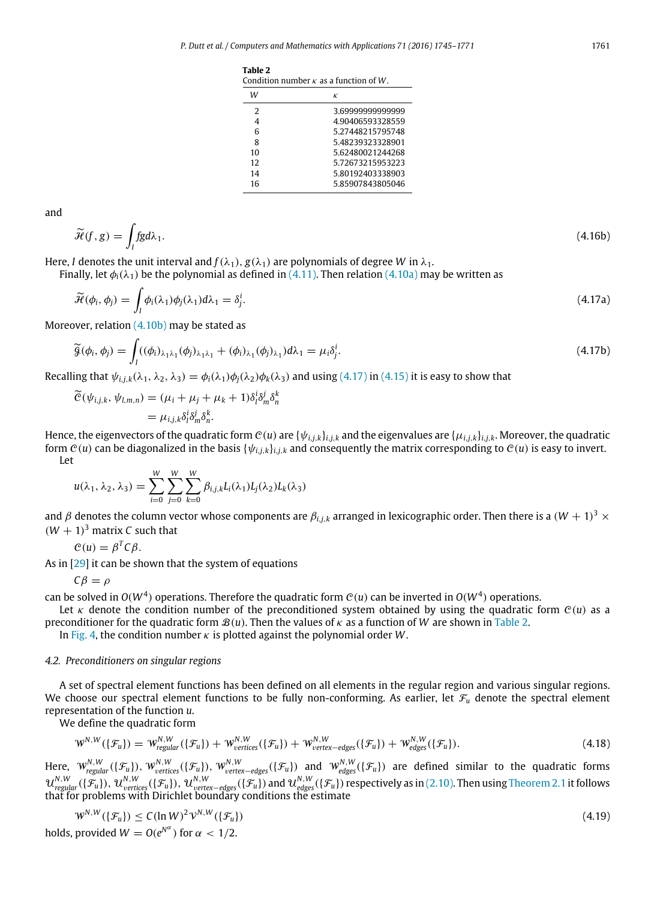<span id="page-16-1"></span>**Table 2**

| Condition number $\kappa$ as a function of W. |                  |  |
|-----------------------------------------------|------------------|--|
| w                                             | к                |  |
| $\mathcal{L}$                                 | 3.69999999999999 |  |
| 4                                             | 490406593328559  |  |
| 6                                             | 5.27448215795748 |  |
| 8                                             | 548239323328901  |  |
| 10                                            | 5.62480021244268 |  |
| 12                                            | 5.72673215953223 |  |
| 14                                            | 5.80192403338903 |  |
| 16                                            | 5.85907843805046 |  |

and

$$
\widetilde{\mathcal{H}}(f,g) = \int_{I} fg d\lambda_1. \tag{4.16b}
$$

Here, *I* denotes the unit interval and  $f(\lambda_1)$ ,  $g(\lambda_1)$  are polynomials of degree *W* in  $\lambda_1$ .

Finally, let  $\phi_i(\lambda_1)$  be the polynomial as defined in [\(4.11\).](#page-15-1) Then relation [\(4.10a\)](#page-15-2) may be written as

<span id="page-16-0"></span>
$$
\widetilde{\mathcal{H}}(\phi_i, \phi_j) = \int_I \phi_i(\lambda_1) \phi_j(\lambda_1) d\lambda_1 = \delta_j^i.
$$
\n(4.17a)

Moreover, relation [\(4.10b\)](#page-15-3) may be stated as

$$
\widetilde{\mathcal{G}}(\phi_i, \phi_j) = \int_I ((\phi_i)_{\lambda_1 \lambda_1} (\phi_j)_{\lambda_1 \lambda_1} + (\phi_i)_{\lambda_1} (\phi_j)_{\lambda_1}) d\lambda_1 = \mu_i \delta_j^i.
$$
\n(4.17b)

Recalling that  $\psi_{i,j,k}(\lambda_1, \lambda_2, \lambda_3) = \phi_i(\lambda_1)\phi_i(\lambda_2)\phi_k(\lambda_3)$  and using [\(4.17\)](#page-16-0) in [\(4.15\)](#page-15-4) it is easy to show that

$$
\widetilde{\mathcal{C}}(\psi_{i,j,k}, \psi_{l,m,n}) = (\mu_i + \mu_j + \mu_k + 1) \delta_i^i \delta_m^j \delta_n^k
$$
  
=  $\mu_{i,j,k} \delta_i^i \delta_m^j \delta_n^k$ .

Hence, the eigenvectors of the quadratic form  $\mathcal{C}(u)$  are  $\{\psi_{i,j,k}\}_{i,j,k}$  and the eigenvalues are  $\{\mu_{i,j,k}\}_{i,j,k}$ . Moreover, the quadratic form  $C(u)$  can be diagonalized in the basis  $\{\psi_{i,j,k}\}_{i,j,k}$  and consequently the matrix corresponding to  $C(u)$  is easy to invert. Let

$$
u(\lambda_1, \lambda_2, \lambda_3) = \sum_{i=0}^{W} \sum_{j=0}^{W} \sum_{k=0}^{W} \beta_{i,j,k} L_i(\lambda_1) L_j(\lambda_2) L_k(\lambda_3)
$$

and  $\beta$  denotes the column vector whose components are  $\beta_{i,j,k}$  arranged in lexicographic order. Then there is a  $(W + 1)^3 \times$  $(W + 1)^3$  matrix *C* such that

$$
C(u) = \beta^T C \beta.
$$

As in [\[29\]](#page-26-20) it can be shown that the system of equations

$$
\mathsf{C}\beta=\rho
$$

can be solved in  $O(W^4)$  operations. Therefore the quadratic form  $C(u)$  can be inverted in  $O(W^4)$  operations.

Let  $\kappa$  denote the condition number of the preconditioned system obtained by using the quadratic form  $C(u)$  as a preconditioner for the quadratic form B(*u*). Then the values of κ as a function of *W* are shown in [Table 2.](#page-16-1)

In [Fig. 4,](#page-17-0) the condition number  $\kappa$  is plotted against the polynomial order *W*.

#### *4.2. Preconditioners on singular regions*

A set of spectral element functions has been defined on all elements in the regular region and various singular regions. We choose our spectral element functions to be fully non-conforming. As earlier, let  $\mathcal{F}_u$  denote the spectral element representation of the function *u*.

We define the quadratic form

<span id="page-16-2"></span>
$$
W^{N,W}(\{\mathcal{F}_u\}) = W^{N,W}_{regular}(\{\mathcal{F}_u\}) + W^{N,W}_{vertices}(\{\mathcal{F}_u\}) + W^{N,W}_{vertex-deges}(\{\mathcal{F}_u\}) + W^{N,W}_{edges}(\{\mathcal{F}_u\}).
$$
\n(4.18)

Here,  $W_{regular}^{N,W}(\{\mathcal{F}_u\})$ ,  $W_{vertices}^{N,W}(\{\mathcal{F}_u\})$ ,  $W_{vertex-edges}^{N,W}(\{\mathcal{F}_u\})$  and  $W_{edges}^{N,W}(\{\mathcal{F}_u\})$  are defined similar to the quadratic forms  $\mathcal{U}_{reg}^{N,W}(\{\mathcal{F}_u\}), \mathcal{U}_{vertex}^{N,W}(\{\mathcal{F}_u\}), \mathcal{U}_{vertex-edges}^{N,W}(\{\mathcal{F}_u\})$  and  $\mathcal{U}_{edges}^{N,W}(\{\mathcal{F}_u\})$  respectively as in [\(2.10\).](#page-8-2) Then using [Theorem 2.1](#page-9-1) it follows that for problems with Dirichlet boundary conditions the estimate

$$
W^{N,W}(\{\mathcal{F}_u\}) \le C(\ln W)^2 V^{N,W}(\{\mathcal{F}_u\})
$$
  
holds, provided  $W = O(e^{N^{\alpha}})$  for  $\alpha < 1/2$ . (4.19)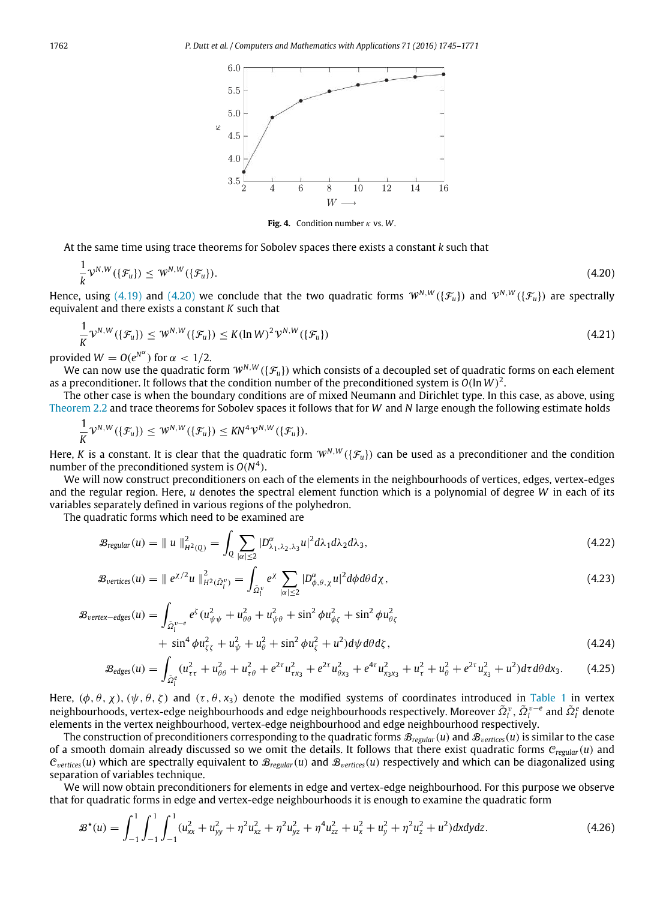<span id="page-17-0"></span>

<span id="page-17-1"></span>**Fig. 4.** Condition number κ vs. *W*.

At the same time using trace theorems for Sobolev spaces there exists a constant *k* such that

$$
\frac{1}{k} \mathcal{V}^{N,W}(\{\mathcal{F}_u\}) \leq W^{N,W}(\{\mathcal{F}_u\}).
$$
\n(4.20)

Hence, using [\(4.19\)](#page-16-2) and [\(4.20\)](#page-17-1) we conclude that the two quadratic forms  $W^{N,W}(\{\mathcal{F}_u\})$  and  $V^{N,W}(\{\mathcal{F}_u\})$  are spectrally equivalent and there exists a constant *K* such that

$$
\frac{1}{K} \mathcal{V}^{N,W}(\{\mathcal{F}_u\}) \le W^{N,W}(\{\mathcal{F}_u\}) \le K(\ln W)^2 \mathcal{V}^{N,W}(\{\mathcal{F}_u\})
$$
\n(4.21)

provided  $W = O(e^{N^{\alpha}})$  for  $\alpha < 1/2$ .

We can now use the quadratic form  $W^{N,W}(\{\mathcal{F}_u\})$  which consists of a decoupled set of quadratic forms on each element as a preconditioner. It follows that the condition number of the preconditioned system is *O*(ln *W*) 2 .

The other case is when the boundary conditions are of mixed Neumann and Dirichlet type. In this case, as above, using [Theorem 2.2](#page-9-2) and trace theorems for Sobolev spaces it follows that for *W* and *N* large enough the following estimate holds

$$
\frac{1}{K} \mathcal{V}^{N,W}(\{\mathcal{F}_u\}) \leq W^{N,W}(\{\mathcal{F}_u\}) \leq K N^4 \mathcal{V}^{N,W}(\{\mathcal{F}_u\}).
$$

Here, *K* is a constant. It is clear that the quadratic form  $W^{N,W}(\{\mathcal{F}_u\})$  can be used as a preconditioner and the condition number of the preconditioned system is *O*(*N* 4 ).

We will now construct preconditioners on each of the elements in the neighbourhoods of vertices, edges, vertex-edges and the regular region. Here, *u* denotes the spectral element function which is a polynomial of degree *W* in each of its variables separately defined in various regions of the polyhedron.

The quadratic forms which need to be examined are

$$
\mathcal{B}_{\text{regular}}(u) = || u ||_{H^2(Q)}^2 = \int_Q \sum_{|\alpha| \le 2} |D^{\alpha}_{\lambda_1, \lambda_2, \lambda_3} u|^2 d\lambda_1 d\lambda_2 d\lambda_3,
$$
\n(4.22)

$$
\mathcal{B}_{vertices}(u) = ||e^{\chi/2}u||_{H^2(\tilde{\Omega}_l^v)}^2 = \int_{\tilde{\Omega}_l^v} e^{\chi} \sum_{|\alpha| \le 2} |D^{\alpha}_{\phi,\theta,\chi}u|^2 d\phi d\theta d\chi, \qquad (4.23)
$$

$$
\mathcal{B}_{vertex-edges}(u) = \int_{\tilde{\Omega}_l^{v-e}} e^{\zeta} (u_{\psi\psi}^2 + u_{\theta\theta}^2 + u_{\psi\theta}^2 + \sin^2 \phi u_{\phi\zeta}^2 + \sin^2 \phi u_{\theta\zeta}^2 + \sin^4 \phi u_{\zeta\zeta}^2 + u_{\psi}^2 + u_{\theta}^2 + \sin^2 \phi u_{\zeta}^2 + u^2) d\psi d\theta d\zeta,
$$
\n(4.24)

$$
\mathcal{B}_{edges}(u) = \int_{\tilde{\Omega}_l^e} (u_{\tau\tau}^2 + u_{\theta\theta}^2 + u_{\tau\theta}^2 + e^{2\tau} u_{\tau x_3}^2 + e^{2\tau} u_{\theta x_3}^2 + e^{4\tau} u_{x_3 x_3}^2 + u_{\tau}^2 + u_{\theta}^2 + e^{2\tau} u_{x_3}^2 + u^2) d\tau d\theta dx_3.
$$
 (4.25)

Here,  $(\phi, \theta, \chi)$ ,  $(\psi, \theta, \zeta)$  and  $(\tau, \theta, x_3)$  denote the modified systems of coordinates introduced in [Table 1](#page-3-0) in vertex neighbourhoods, vertex-edge neighbourhoods and edge neighbourhoods respectively. Moreover  $\tilde Q^v_l,\tilde Q^{v-e}_l$  and  $\tilde Q^e_l$  denote elements in the vertex neighbourhood, vertex-edge neighbourhood and edge neighbourhood respectively.

The construction of preconditioners corresponding to the quadratic forms  $B_{regular}(u)$  and  $B_{vertices}(u)$  is similar to the case of a smooth domain already discussed so we omit the details. It follows that there exist quadratic forms C*regular*(*u*) and  $C_{vertices}(u)$  which are spectrally equivalent to  $B_{regular}(u)$  and  $B_{vertices}(u)$  respectively and which can be diagonalized using separation of variables technique.

We will now obtain preconditioners for elements in edge and vertex-edge neighbourhood. For this purpose we observe that for quadratic forms in edge and vertex-edge neighbourhoods it is enough to examine the quadratic form

<span id="page-17-2"></span>
$$
\mathcal{B}^{\star}(u) = \int_{-1}^{1} \int_{-1}^{1} \int_{-1}^{1} (u_{xx}^{2} + u_{yy}^{2} + \eta^{2} u_{xz}^{2} + \eta^{2} u_{yz}^{2} + \eta^{4} u_{zz}^{2} + u_{x}^{2} + u_{y}^{2} + \eta^{2} u_{z}^{2} + u^{2}) dxdydz.
$$
 (4.26)

1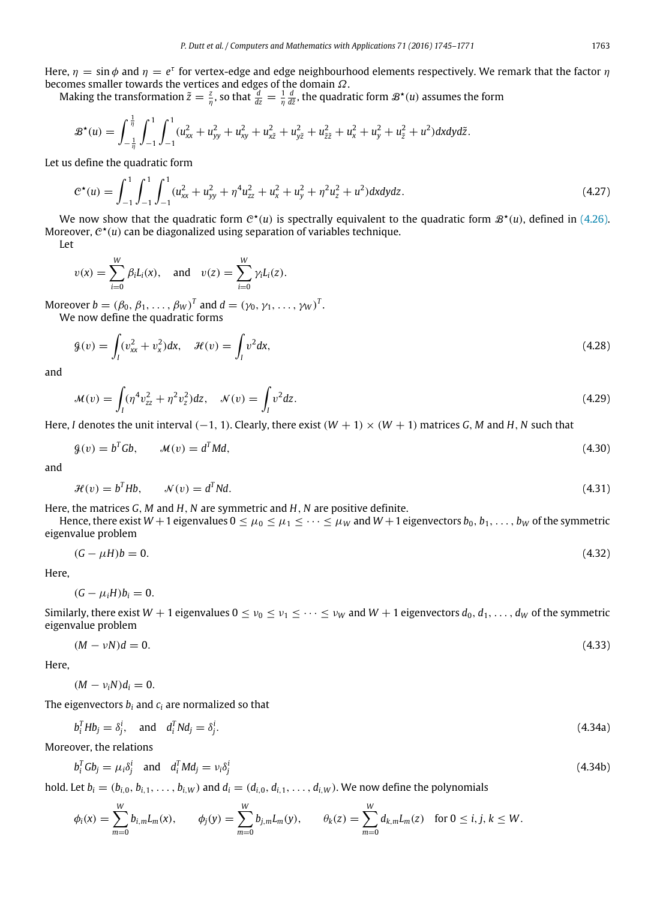Here,  $\eta = \sin \phi$  and  $\eta = e^{\tau}$  for vertex-edge and edge neighbourhood elements respectively. We remark that the factor  $\eta$ becomes smaller towards the vertices and edges of the domain  $\Omega$ .

Making the transformation  $\tilde{z} = \frac{z}{\eta}$ , so that  $\frac{d}{dz} = \frac{1}{\eta} \frac{d}{d\tilde{z}}$ , the quadratic form  $\mathcal{B}^\star(u)$  assumes the form

$$
\mathcal{B}^{\star}(u) = \int_{-\frac{1}{\eta}}^{\frac{1}{\eta}} \int_{-1}^{1} \int_{-1}^{1} (u_{xx}^2 + u_{yy}^2 + u_{xy}^2 + u_{x\bar{z}}^2 + u_{y\bar{z}}^2 + u_{\bar{z}}^2 + u_x^2 + u_y^2 + u_{\bar{z}}^2 + u^2) dxdyd\bar{z}.
$$

Let us define the quadratic form

$$
\mathcal{C}^{\star}(u) = \int_{-1}^{1} \int_{-1}^{1} \int_{-1}^{1} (u_{xx}^{2} + u_{yy}^{2} + \eta^{4} u_{zz}^{2} + u_{x}^{2} + u_{y}^{2} + \eta^{2} u_{z}^{2} + u^{2}) dxdydz.
$$
 (4.27)

We now show that the quadratic form  $C^*(u)$  is spectrally equivalent to the quadratic form  $B^*(u)$ , defined in [\(4.26\).](#page-17-2) Moreover,  $C^*(u)$  can be diagonalized using separation of variables technique.

Let

$$
v(x) = \sum_{i=0}^{W} \beta_i L_i(x)
$$
, and  $v(z) = \sum_{i=0}^{W} \gamma_i L_i(z)$ .

Moreover  $b = (\beta_0, \beta_1, \dots, \beta_W)^T$  and  $d = (\gamma_0, \gamma_1, \dots, \gamma_W)^T$ . We now define the quadratic forms

$$
\mathcal{G}(v) = \int_{I} (v_{xx}^{2} + v_{x}^{2}) dx, \quad \mathcal{H}(v) = \int_{I} v^{2} dx,
$$
\n(4.28)

and

$$
\mathcal{M}(v) = \int_{I} (\eta^4 v_{zz}^2 + \eta^2 v_z^2) dz, \quad \mathcal{N}(v) = \int_{I} v^2 dz.
$$
 (4.29)

Here, *I* denotes the unit interval  $(-1, 1)$ . Clearly, there exist  $(W + 1) \times (W + 1)$  matrices *G*, *M* and *H*, *N* such that

$$
\mathcal{G}(v) = b^T G b, \qquad \mathcal{M}(v) = d^T M d, \tag{4.30}
$$

and

$$
\mathcal{H}(v) = b^T H b, \qquad \mathcal{N}(v) = d^T N d. \tag{4.31}
$$

Here, the matrices *G*, *M* and *H*, *N* are symmetric and *H*, *N* are positive definite.

Hence, there exist  $W + 1$  eigenvalues  $0 \le \mu_0 \le \mu_1 \le \cdots \le \mu_W$  and  $W + 1$  eigenvectors  $b_0, b_1, \ldots, b_W$  of the symmetric eigenvalue problem

$$
(G - \mu H)b = 0.\tag{4.32}
$$

Here,

$$
(G - \mu_i H) b_i = 0.
$$

Similarly, there exist  $W + 1$  eigenvalues  $0 \le v_0 \le v_1 \le \cdots \le v_W$  and  $W + 1$  eigenvectors  $d_0, d_1, \ldots, d_W$  of the symmetric eigenvalue problem

$$
(M - \nu N)d = 0. \tag{4.33}
$$

Here,

$$
(M-\nu_iN)d_i=0.
$$

The eigenvectors  $b_i$  and  $c_i$  are normalized so that

$$
b_i^T H b_j = \delta_j^i, \quad \text{and} \quad d_i^T N d_j = \delta_j^i. \tag{4.34a}
$$

Moreover, the relations

$$
b_i^T G b_j = \mu_i \delta_j^i \quad \text{and} \quad d_i^T M d_j = \nu_i \delta_j^i \tag{4.34b}
$$

hold. Let  $b_i = (b_{i,0}, b_{i,1}, \ldots, b_{i,W})$  and  $d_i = (d_{i,0}, d_{i,1}, \ldots, d_{i,W})$ . We now define the polynomials

$$
\phi_i(x) = \sum_{m=0}^W b_{i,m} L_m(x), \qquad \phi_j(y) = \sum_{m=0}^W b_{j,m} L_m(y), \qquad \theta_k(z) = \sum_{m=0}^W d_{k,m} L_m(z) \quad \text{for } 0 \le i, j, k \le W.
$$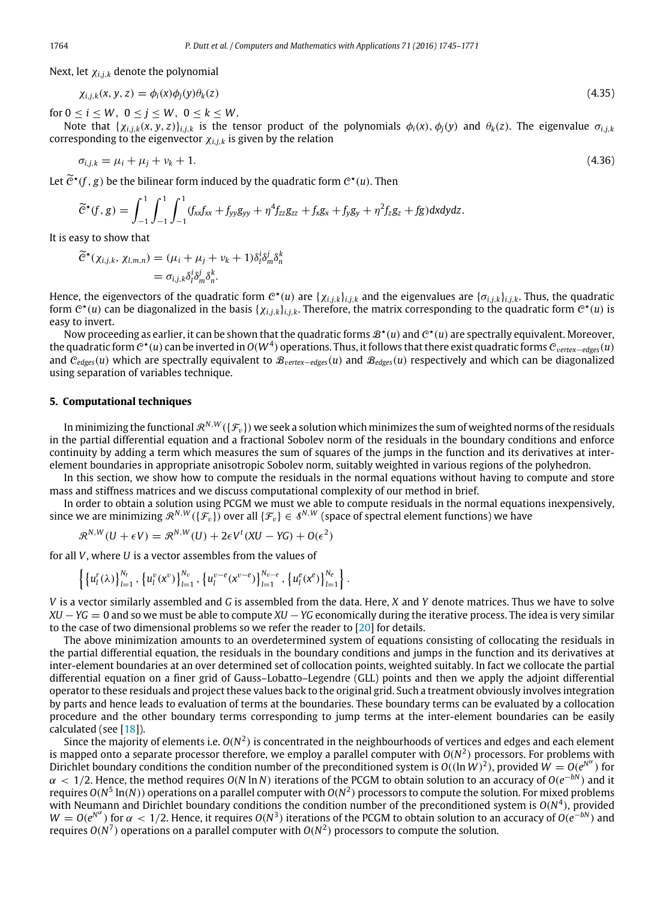Next, let χ*i*,*j*,*<sup>k</sup>* denote the polynomial

$$
\chi_{i,j,k}(x, y, z) = \phi_i(x)\phi_j(y)\theta_k(z) \tag{4.35}
$$

for  $0 \le i \le W$ ,  $0 \le j \le W$ ,  $0 \le k \le W$ .

Note that  $\{\chi_{i,j,k}(x,y,z)\}_{i,j,k}$  is the tensor product of the polynomials  $\phi_i(x), \phi_j(y)$  and  $\theta_k(z)$ . The eigenvalue  $\sigma_{i,j,k}$ corresponding to the eigenvector  $\chi_{i,j,k}$  is given by the relation

$$
\sigma_{i,j,k} = \mu_i + \mu_j + \nu_k + 1. \tag{4.36}
$$

Let  $\widetilde{\mathcal{C}}^{\star}(f,g)$  be the bilinear form induced by the quadratic form  $\mathcal{C}^{\star}(u)$ . Then

$$
\widetilde{c}^*(f,g) = \int_{-1}^1 \int_{-1}^1 \int_{-1}^1 (f_{xx}f_{xx} + f_{yy}g_{yy} + \eta^4 f_{zz}g_{zz} + f_xg_x + f_yg_y + \eta^2 f_zg_z + fg)dxdydz.
$$

It is easy to show that

$$
\widetilde{e}^{\star}(\chi_{i,j,k}, \chi_{l,m,n}) = (\mu_i + \mu_j + \nu_k + 1)\delta_i^i \delta_m^j \delta_n^k
$$
  
=  $\sigma_{i,j,k} \delta_i^i \delta_m^j \delta_n^k$ .

Hence, the eigenvectors of the quadratic form  $C^*(u)$  are  $\{\chi_{i,j,k}\}_{i,j,k}$  and the eigenvalues are  $\{\sigma_{i,j,k}\}_{i,j,k}$ . Thus, the quadratic form  $C^*(u)$  can be diagonalized in the basis  $\{\chi_{i,j,k}\}_{i,j,k}$ . Therefore, the matrix corresponding to the quadratic form  $C^*(u)$  is easy to invert.

Now proceeding as earlier, it can be shown that the quadratic forms  $B^\star(u)$  and  $\mathcal{C}^\star(u)$  are spectrally equivalent. Moreover, the quadratic form  $C^*(u)$  can be inverted in  $O(W^4)$  operations. Thus, it follows that there exist quadratic forms  $C_{vertex–edges}(u)$ and C*edges*(*u*) which are spectrally equivalent to Bv*ertex*−*edges*(*u*) and B*edges*(*u*) respectively and which can be diagonalized using separation of variables technique.

## <span id="page-19-0"></span>**5. Computational techniques**

In minimizing the functional  $\mathcal{R}^{N,W}(\{\mathcal{F}_v\})$  we seek a solution which minimizes the sum of weighted norms of the residuals in the partial differential equation and a fractional Sobolev norm of the residuals in the boundary conditions and enforce continuity by adding a term which measures the sum of squares of the jumps in the function and its derivatives at interelement boundaries in appropriate anisotropic Sobolev norm, suitably weighted in various regions of the polyhedron.

In this section, we show how to compute the residuals in the normal equations without having to compute and store mass and stiffness matrices and we discuss computational complexity of our method in brief.

In order to obtain a solution using PCGM we must we able to compute residuals in the normal equations inexpensively, since we are minimizing  $\mathcal{R}^{N,W}(\{\mathcal{F}_v\})$  over all  $\{\mathcal{F}_v\}\in\mathcal{S}^{N,W}$  (space of spectral element functions) we have

$$
\mathcal{R}^{N,W}(U+\epsilon V) = \mathcal{R}^{N,W}(U) + 2\epsilon V^{t}(XU - YG) + O(\epsilon^{2})
$$

for all *V*, where *U* is a vector assembles from the values of

$$
\left\{\left\{u_{l}^{r}(\lambda)\right\}_{l=1}^{N_{r}},\,\left\{u_{l}^{v}(x^{v})\right\}_{l=1}^{N_{v}},\,\left\{u_{l}^{v-e}(x^{v-e})\right\}_{l=1}^{N_{v-e}},\,\left\{u_{l}^{e}(x^{e})\right\}_{l=1}^{N_{e}}\right\}.
$$

*V* is a vector similarly assembled and *G* is assembled from the data. Here, *X* and *Y* denote matrices. Thus we have to solve *XU* − *YG* = 0 and so we must be able to compute *XU* − *YG* economically during the iterative process. The idea is very similar to the case of two dimensional problems so we refer the reader to [\[20\]](#page-26-8) for details.

The above minimization amounts to an overdetermined system of equations consisting of collocating the residuals in the partial differential equation, the residuals in the boundary conditions and jumps in the function and its derivatives at inter-element boundaries at an over determined set of collocation points, weighted suitably. In fact we collocate the partial differential equation on a finer grid of Gauss–Lobatto–Legendre (GLL) points and then we apply the adjoint differential operator to these residuals and project these values back to the original grid. Such a treatment obviously involves integration by parts and hence leads to evaluation of terms at the boundaries. These boundary terms can be evaluated by a collocation procedure and the other boundary terms corresponding to jump terms at the inter-element boundaries can be easily calculated (see [\[18\]](#page-26-14)).

Since the majority of elements i.e.  $O(N^2)$  is concentrated in the neighbourhoods of vertices and edges and each element is mapped onto a separate processor therefore, we employ a parallel computer with *O*(*N* 2 ) processors. For problems with Dirichlet boundary conditions the condition number of the preconditioned system is  $O((\ln W)^2)$ , provided  $W = O(e^{N^{\alpha}})$  for  $\alpha$  < 1/2. Hence, the method requires  $O(N \ln N)$  iterations of the PCGM to obtain solution to an accuracy of  $O(e^{-bN})$  and it requires  $O(N^5 \ln(N))$  operations on a parallel computer with  $O(N^2)$  processors to compute the solution. For mixed problems with Neumann and Dirichlet boundary conditions the condition number of the preconditioned system is  $O(N^4)$ , provided  $W = O(e^{N\alpha})$  for  $\alpha < 1/2$ . Hence, it requires  $O(N^3)$  iterations of the PCGM to obtain solution to an accuracy of  $O(e^{-bN})$  and requires  $O(N^7)$  operations on a parallel computer with  $O(N^2)$  processors to compute the solution.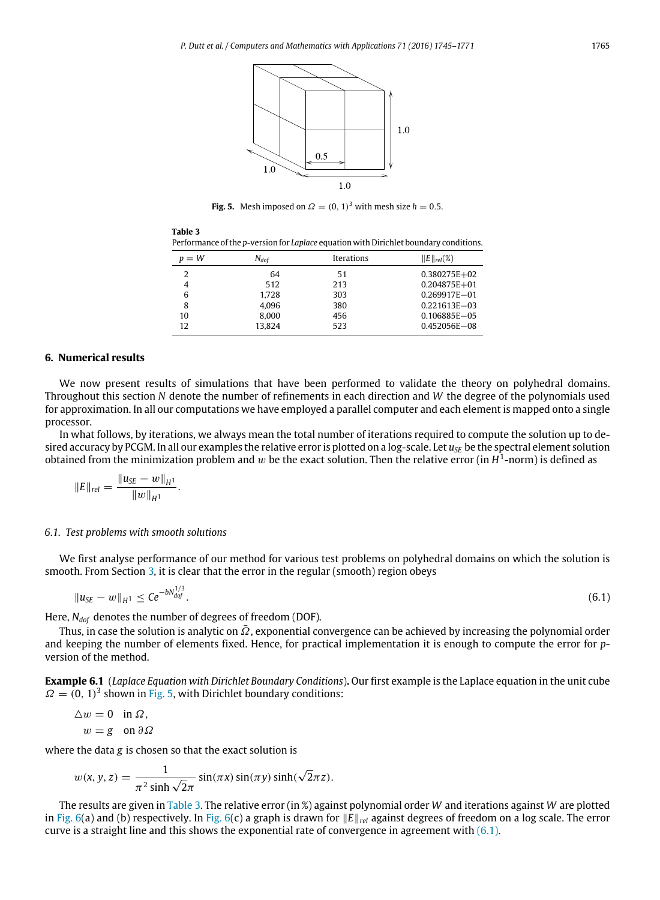<span id="page-20-1"></span>

**Fig. 5.** Mesh imposed on  $\Omega = (0, 1)^3$  with mesh size  $h = 0.5$ .

<span id="page-20-2"></span>

| Table 3                                                                               |  |
|---------------------------------------------------------------------------------------|--|
| Performance of the p-version for Laplace equation with Dirichlet boundary conditions. |  |

| $\n  p = W$ | $N_{dof}$ | <b>Iterations</b> | $  E  _{rel}(\mathcal{X})$ |
|-------------|-----------|-------------------|----------------------------|
| 2           | 64        | 51                | $0.380275E + 02$           |
|             | 512       | 213               | $0.204875E + 01$           |
| 6           | 1.728     | 303               | 0.269917E-01               |
| 8           | 4.096     | 380               | $0.221613E - 03$           |
| 10          | 8.000     | 456               | 0.106885E-05               |
| 12          | 13.824    | 523               | 0.452056E-08               |

#### <span id="page-20-0"></span>**6. Numerical results**

We now present results of simulations that have been performed to validate the theory on polyhedral domains. Throughout this section *N* denote the number of refinements in each direction and *W* the degree of the polynomials used for approximation. In all our computations we have employed a parallel computer and each element is mapped onto a single processor.

In what follows, by iterations, we always mean the total number of iterations required to compute the solution up to desired accuracy by PCGM. In all our examples the relative error is plotted on a log-scale. Let  $u_{SF}$  be the spectral element solution obtained from the minimization problem and  $w$  be the exact solution. Then the relative error (in  $H^1$ -norm) is defined as

$$
||E||_{rel} = \frac{||u_{SE} - w||_{H^1}}{||w||_{H^1}}.
$$

#### *6.1. Test problems with smooth solutions*

We first analyse performance of our method for various test problems on polyhedral domains on which the solution is smooth. From Section [3,](#page-9-0) it is clear that the error in the regular (smooth) region obeys

<span id="page-20-3"></span>
$$
||u_{SE} - w||_{H^1} \leq Ce^{-bN_{dof}^{1/3}}.
$$
\n(6.1)

Here, *Ndof* denotes the number of degrees of freedom (DOF).

Thus, in case the solution is analytic on  $\bar{\Omega}$ , exponential convergence can be achieved by increasing the polynomial order and keeping the number of elements fixed. Hence, for practical implementation it is enough to compute the error for *p*version of the method.

**Example 6.1** (*Laplace Equation with Dirichlet Boundary Conditions*)**.** Our first example is the Laplace equation in the unit cube  $\Omega = (0, 1)^3$  shown in [Fig. 5,](#page-20-1) with Dirichlet boundary conditions:

 $\Delta w = 0$  in  $\Omega$ ,  $w = g \quad \text{on } \partial \Omega$ 

where the data *g* is chosen so that the exact solution is

$$
w(x, y, z) = \frac{1}{\pi^2 \sinh \sqrt{2\pi}} \sin(\pi x) \sin(\pi y) \sinh(\sqrt{2}\pi z).
$$

The results are given in [Table 3.](#page-20-2) The relative error (in %) against polynomial order *W* and iterations against *W* are plotted in [Fig. 6\(](#page-21-0)a) and (b) respectively. In [Fig. 6\(](#page-21-0)c) a graph is drawn for ∥*E*∥*rel* against degrees of freedom on a log scale. The error curve is a straight line and this shows the exponential rate of convergence in agreement with [\(6.1\).](#page-20-3)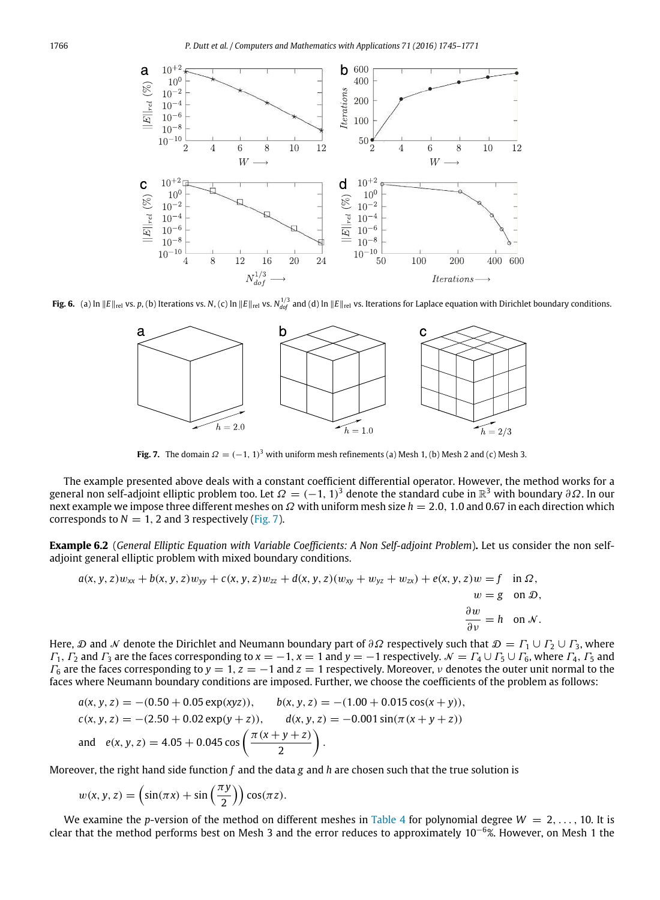<span id="page-21-0"></span>

<span id="page-21-1"></span>**Fig. 6.** (a) ln ∥*E*∥<sub>rel</sub> vs. *p*, (b) Iterations vs. *N*, (c) ln ∥*E*∥<sub>rel</sub> vs. *N<sub>dof</sub>* and (d) ln ∥*E*∥<sub>rel</sub> vs. Iterations for Laplace equation with Dirichlet boundary conditions.



**Fig. 7.** The domain  $\Omega = (-1, 1)^3$  with uniform mesh refinements (a) Mesh 1, (b) Mesh 2 and (c) Mesh 3.

The example presented above deals with a constant coefficient differential operator. However, the method works for a general non self-adjoint elliptic problem too. Let  $\Omega = (-1, 1)^3$  denote the standard cube in  $\mathbb{R}^3$  with boundary  $\partial \Omega$ . In our next example we impose three different meshes on Ω with uniform mesh size *<sup>h</sup>* = <sup>2</sup>.0, <sup>1</sup>.0 and 0.67 in each direction which corresponds to  $N = 1$ , 2 and 3 respectively [\(Fig. 7\)](#page-21-1).

**Example 6.2** (*General Elliptic Equation with Variable Coefficients: A Non Self-adjoint Problem*)**.** Let us consider the non selfadjoint general elliptic problem with mixed boundary conditions.

$$
a(x, y, z)w_{xx} + b(x, y, z)w_{yy} + c(x, y, z)w_{zz} + d(x, y, z)(w_{xy} + w_{yz} + w_{zx}) + e(x, y, z)w = f \quad \text{in } \Omega, \\
w = g \quad \text{on } \mathcal{D}, \\
\frac{\partial w}{\partial y} = h \quad \text{on } \mathcal{N}.
$$

Here,  $\mathcal D$  and  $\mathcal N$  denote the Dirichlet and Neumann boundary part of  $\partial\Omega$  respectively such that  $\mathcal D = \Gamma_1 \cup \Gamma_2 \cup \Gamma_3$ , where  $\Gamma_1$ ,  $\Gamma_2$  and  $\Gamma_3$  are the faces corresponding to  $x = -1$ ,  $x = 1$  and  $y = -1$  respectively.  $\mathcal{N} = \Gamma_4 \cup \Gamma_5 \cup \Gamma_6$ , where  $\Gamma_4$ ,  $\Gamma_5$  and  $\Gamma_6$  are the faces corresponding to  $y = 1$ ,  $z = -1$  and  $z = 1$  respectively. Moreover,  $\nu$  denotes the outer unit normal to the faces where Neumann boundary conditions are imposed. Further, we choose the coefficients of the problem as follows:

$$
a(x, y, z) = -(0.50 + 0.05 \exp(xyz)), \qquad b(x, y, z) = -(1.00 + 0.015 \cos(x + y)),
$$
  
\n
$$
c(x, y, z) = -(2.50 + 0.02 \exp(y + z)), \qquad d(x, y, z) = -0.001 \sin(\pi(x + y + z))
$$
  
\nand 
$$
e(x, y, z) = 4.05 + 0.045 \cos\left(\frac{\pi(x + y + z)}{2}\right).
$$

Moreover, the right hand side function *f* and the data *g* and *h* are chosen such that the true solution is

$$
w(x, y, z) = \left(\sin(\pi x) + \sin\left(\frac{\pi y}{2}\right)\right)\cos(\pi z).
$$

We examine the *p*-version of the method on different meshes in [Table 4](#page-22-0) for polynomial degree  $W = 2, \ldots, 10$ . It is clear that the method performs best on Mesh 3 and the error reduces to approximately 10−<sup>6</sup>%. However, on Mesh 1 the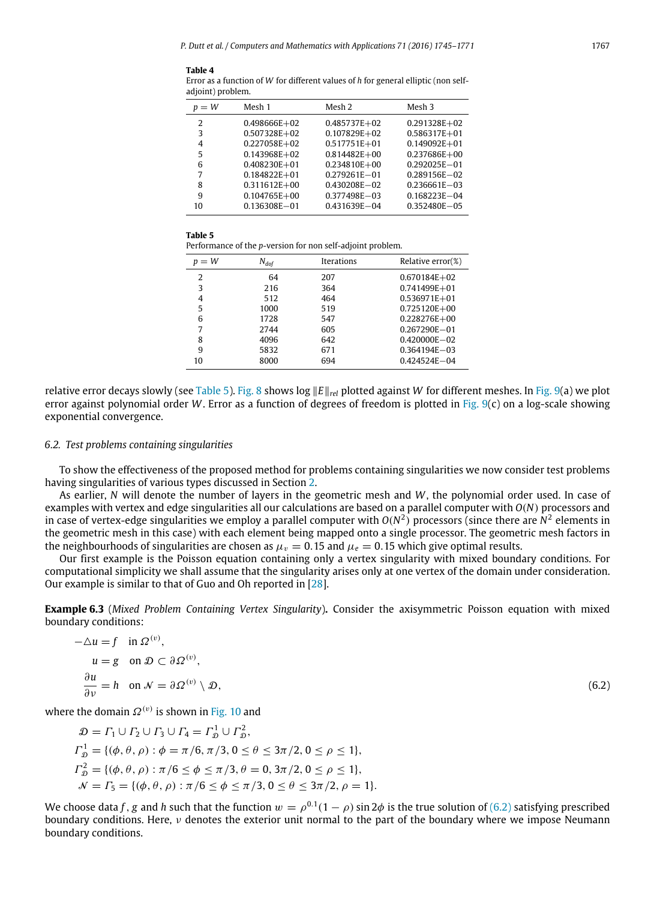#### <span id="page-22-0"></span>**Table 4**

Error as a function of *W* for different values of *h* for general elliptic (non selfadjoint) problem.

| $\n  p = W$ | Mesh 1           | Mesh 2           | Mesh 3           |
|-------------|------------------|------------------|------------------|
| 2           | $0.498666E + 02$ | $0.485737E + 02$ | $0.291328E + 02$ |
| 3           | $0.507328E + 02$ | $0.107829E + 02$ | $0.586317E + 01$ |
| 4           | $0.227058E + 02$ | $0.517751E + 01$ | $0.149092E + 01$ |
| 5           | $0.143968E + 02$ | $0.814482E + 00$ | $0.237686E + 00$ |
| 6           | $0.408230E + 01$ | $0.234810E + 00$ | $0.292025E - 01$ |
| 7           | $0.184822E + 01$ | $0.279261E - 01$ | 0.289156E-02     |
| 8           | $0.311612E + 00$ | $0.430208E - 02$ | $0.236661E - 03$ |
| 9           | $0.104765E + 00$ | 0.377498E-03     | $0.168223E - 04$ |
| 10          | 0.136308E-01     | $0.431639E - 04$ | $0.352480E - 05$ |

<span id="page-22-1"></span>

|--|--|

Performance of the *p*-version for non self-adjoint problem.

| $p = W$ | $N_{dof}$ | <b>Iterations</b> | Relative $error(\%)$ |
|---------|-----------|-------------------|----------------------|
| 2       | 64        | 207               | $0.670184E + 02$     |
| 3       | 216       | 364               | $0.741499E + 01$     |
| 4       | 512       | 464               | $0.536971E + 01$     |
| 5       | 1000      | 519               | $0.725120E + 00$     |
| 6       | 1728      | 547               | $0.228276E + 00$     |
| 7       | 2744      | 605               | $0.267290E - 01$     |
| 8       | 4096      | 642               | $0.420000E - 02$     |
| 9       | 5832      | 671               | $0.364194E - 03$     |
| 10      | 8000      | 694               | $0.424524E - 04$     |

relative error decays slowly (see [Table 5\)](#page-22-1). [Fig. 8](#page-23-0) shows log ∥*E*∥*rel* plotted against *<sup>W</sup>* for different meshes. In [Fig. 9\(](#page-23-1)a) we plot error against polynomial order *W*. Error as a function of degrees of freedom is plotted in [Fig. 9\(](#page-23-1)c) on a log-scale showing exponential convergence.

## *6.2. Test problems containing singularities*

To show the effectiveness of the proposed method for problems containing singularities we now consider test problems having singularities of various types discussed in Section [2.](#page-1-0)

As earlier, *N* will denote the number of layers in the geometric mesh and *W*, the polynomial order used. In case of examples with vertex and edge singularities all our calculations are based on a parallel computer with *O*(*N*) processors and in case of vertex-edge singularities we employ a parallel computer with  $O(N^2)$  processors (since there are  $N^2$  elements in the geometric mesh in this case) with each element being mapped onto a single processor. The geometric mesh factors in the neighbourhoods of singularities are chosen as  $\mu<sub>v</sub> = 0.15$  and  $\mu<sub>e</sub> = 0.15$  which give optimal results.

Our first example is the Poisson equation containing only a vertex singularity with mixed boundary conditions. For computational simplicity we shall assume that the singularity arises only at one vertex of the domain under consideration. Our example is similar to that of Guo and Oh reported in [\[28\]](#page-26-19).

**Example 6.3** (*Mixed Problem Containing Vertex Singularity*)**.** Consider the axisymmetric Poisson equation with mixed boundary conditions:

$$
-\Delta u = f \quad \text{in } \Omega^{(v)},
$$
  
\n
$$
u = g \quad \text{on } \mathcal{D} \subset \partial \Omega^{(v)},
$$
  
\n
$$
\frac{\partial u}{\partial v} = h \quad \text{on } \mathcal{N} = \partial \Omega^{(v)} \setminus \mathcal{D},
$$
  
\n(6.2)

<span id="page-22-2"></span>where the domain  $\Omega^{(v)}$  is shown in [Fig. 10](#page-23-2) and

$$
\mathcal{D} = \Gamma_1 \cup \Gamma_2 \cup \Gamma_3 \cup \Gamma_4 = \Gamma_{\mathcal{D}}^1 \cup \Gamma_{\mathcal{D}}^2,
$$
\n
$$
\Gamma_{\mathcal{D}}^1 = \{ (\phi, \theta, \rho) : \phi = \pi / 6, \pi / 3, 0 \le \theta \le 3\pi / 2, 0 \le \rho \le 1 \},
$$
\n
$$
\Gamma_{\mathcal{D}}^2 = \{ (\phi, \theta, \rho) : \pi / 6 \le \phi \le \pi / 3, \theta = 0, 3\pi / 2, 0 \le \rho \le 1 \},
$$
\n
$$
\mathcal{N} = \Gamma_5 = \{ (\phi, \theta, \rho) : \pi / 6 \le \phi \le \pi / 3, 0 \le \theta \le 3\pi / 2, \rho = 1 \}.
$$

We choose data *f*, *g* and *h* such that the function  $w = \rho^{0.1}(1-\rho) \sin 2\phi$  is the true solution of [\(6.2\)](#page-22-2) satisfying prescribed boundary conditions. Here, ν denotes the exterior unit normal to the part of the boundary where we impose Neumann boundary conditions.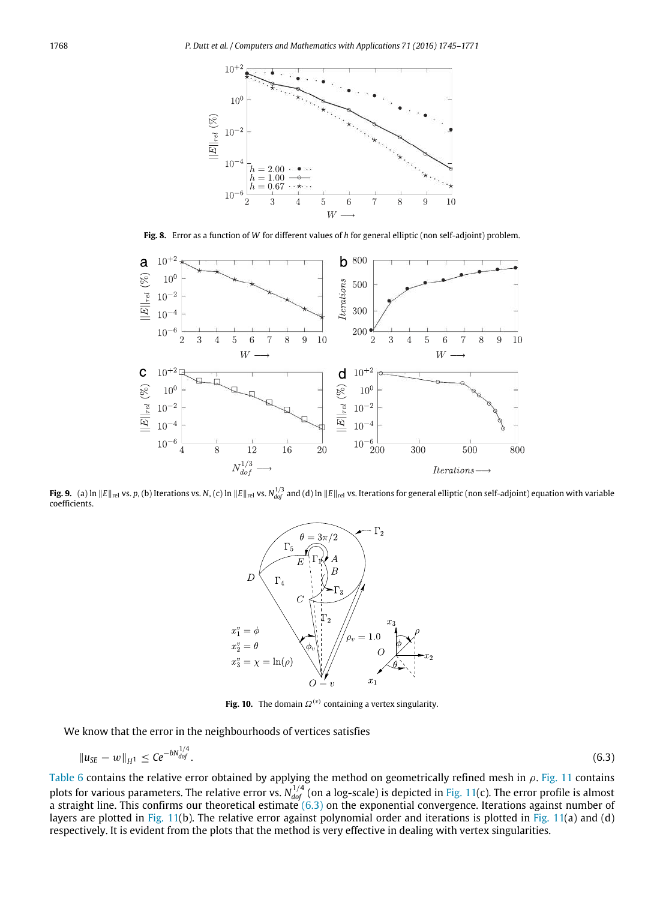<span id="page-23-0"></span>

**Fig. 8.** Error as a function of *W* for different values of *h* for general elliptic (non self-adjoint) problem.

<span id="page-23-1"></span>

<span id="page-23-2"></span>Fig. 9. (a)  $\ln ||E||_{rel}$  vs. p, (b) Iterations vs. N, (c)  $\ln ||E||_{rel}$  vs.  $N_{dof}^{1/3}$  and (d)  $\ln ||E||_{rel}$  vs. Iterations for general elliptic (non self-adjoint) equation with variable coefficients.



**Fig. 10.** The domain  $\Omega^{(v)}$  containing a vertex singularity.

We know that the error in the neighbourhoods of vertices satisfies

<span id="page-23-3"></span>
$$
||u_{SE} - w||_{H^1} \leq Ce^{-bN_{dof}^{1/4}}.
$$
\n(6.3)

[Table 6](#page-24-1) contains the relative error obtained by applying the method on geometrically refined mesh in  $\rho$ . [Fig. 11](#page-24-2) contains plots for various parameters. The relative error vs. N<sup>1/4</sup> (on a log-scale) is depicted in [Fig. 11\(](#page-24-2)c). The error profile is almost a straight line. This confirms our theoretical estimate  $(6.3)$  on the exponential convergence. Iterations against number of layers are plotted in [Fig. 11\(](#page-24-2)b). The relative error against polynomial order and iterations is plotted in Fig. 11(a) and (d) respectively. It is evident from the plots that the method is very effective in dealing with vertex singularities.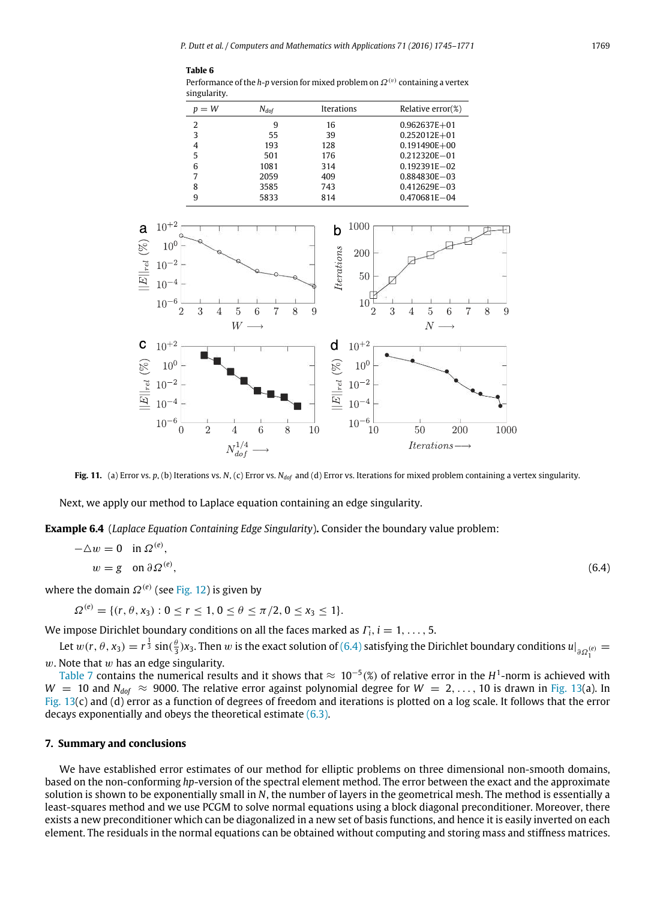Performance of the *h-p* version for mixed problem on  $\Omega^{(v)}$  containing a vertex singularity.  $p = W$   $N_{dof}$  Iterations Relative error(%) 2 9 16 0.962637E+01<br>3 55 39 0.252012E+01  $\begin{array}{ccccccc} 3 & 55 & 39 & 0.252012E+01 \ 4 & 193 & 128 & 0.191490E+00 \end{array}$ 4 193 128 0.191490E+00<br>5 501 176 0.212320E-01 5 501 176 0.212320E−01<br>6 1081 314 0.192391E−02 6 1081 314 0.192391E−<sup>02</sup> 7 2059 409 0.884830E−03<br>8 3585 743 0.412629F−03 8 3585 743 0.412629E−03 9 5833 814 0.470681E−04  $10^{+2}$ 1000  $\mathbf b$  $10<sup>0</sup>$ 200  $-2$ 

<span id="page-24-2"></span>

**Fig. 11.** (a) Error vs. *p*, (b) Iterations vs. *N*, (c) Error vs. *Ndof* and (d) Error vs. Iterations for mixed problem containing a vertex singularity.

Next, we apply our method to Laplace equation containing an edge singularity.

**Example 6.4** (*Laplace Equation Containing Edge Singularity*)**.** Consider the boundary value problem:

<span id="page-24-3"></span>
$$
-\Delta w = 0 \quad \text{in } \Omega^{(e)},
$$
  
\n
$$
w = g \quad \text{on } \partial \Omega^{(e)},
$$
\n(6.4)

where the domain  $\Omega^{(e)}$  (see [Fig. 12\)](#page-25-0) is given by

a

$$
\Omega^{(e)} = \{ (r, \theta, x_3) : 0 \le r \le 1, 0 \le \theta \le \pi/2, 0 \le x_3 \le 1 \}.
$$

<span id="page-24-1"></span>**Table 6**

We impose Dirichlet boundary conditions on all the faces marked as  $\Gamma_i$ ,  $i = 1, \ldots, 5$ .

Let  $w(r, \theta, x_3) = r^{\frac{1}{3}} \sin(\frac{\theta}{3}) x_3$ . Then w is the exact solution of [\(6.4\)](#page-24-3) satisfying the Dirichlet boundary conditions  $u|_{\partial \Omega_1^{(e)}} =$  $w$ . Note that  $w$  has an edge singularity.

[Table 7](#page-25-1) contains the numerical results and it shows that  $\approx 10^{-5}$  (%) of relative error in the *H*<sup>1</sup>-norm is achieved with *W* = 10 and *N*<sup>*dof*</sup> ≈ 9000. The relative error against polynomial degree for *W* = 2, ..., 10 is drawn in [Fig. 13\(](#page-25-2)a). In [Fig. 13\(](#page-25-2)c) and (d) error as a function of degrees of freedom and iterations is plotted on a log scale. It follows that the error decays exponentially and obeys the theoretical estimate [\(6.3\).](#page-23-3)

#### <span id="page-24-0"></span>**7. Summary and conclusions**

We have established error estimates of our method for elliptic problems on three dimensional non-smooth domains, based on the non-conforming *hp*-version of the spectral element method. The error between the exact and the approximate solution is shown to be exponentially small in *N*, the number of layers in the geometrical mesh. The method is essentially a least-squares method and we use PCGM to solve normal equations using a block diagonal preconditioner. Moreover, there exists a new preconditioner which can be diagonalized in a new set of basis functions, and hence it is easily inverted on each element. The residuals in the normal equations can be obtained without computing and storing mass and stiffness matrices.

H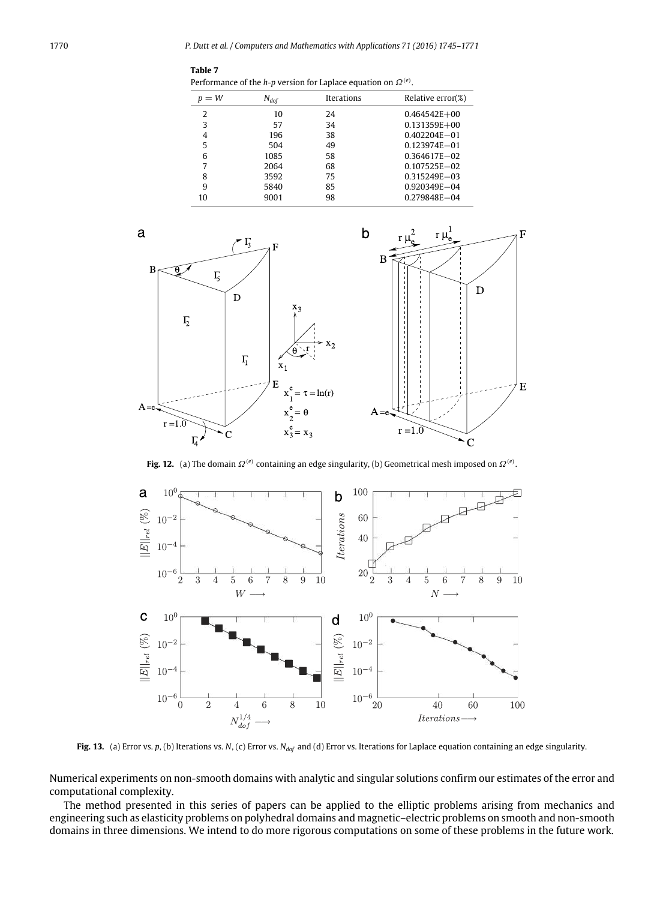<span id="page-25-1"></span>**Table 7** Performance of the *h*-*p* version for Laplace equation on  $\Omega^{(e)}$ .  $p = W$   $N_{dof}$  Iterations Relative error(%)

| $\ddotsc$        |                  |
|------------------|------------------|
| 2<br>10<br>24    | $0.464542E + 00$ |
| 3<br>34<br>57    | $0.131359E + 00$ |
| 38<br>196<br>4   | $0.402204E - 01$ |
| 5<br>49<br>504   | $0.123974E - 01$ |
| 58<br>6<br>1085  | $0.364617E - 02$ |
| 68<br>2064       | $0.107525E - 02$ |
| 75<br>8<br>3592  | $0.315249E - 03$ |
| 85<br>9<br>5840  | 0.920349E-04     |
| 98<br>9001<br>10 | 0.279848E-04     |

<span id="page-25-0"></span>

**Fig. 12.** (a) The domain  $\Omega^{(e)}$  containing an edge singularity, (b) Geometrical mesh imposed on  $\Omega^{(e)}$ .

<span id="page-25-2"></span>

**Fig. 13.** (a) Error vs. *p*, (b) Iterations vs. *N*, (c) Error vs. *Ndof* and (d) Error vs. Iterations for Laplace equation containing an edge singularity.

Numerical experiments on non-smooth domains with analytic and singular solutions confirm our estimates of the error and computational complexity.

The method presented in this series of papers can be applied to the elliptic problems arising from mechanics and engineering such as elasticity problems on polyhedral domains and magnetic–electric problems on smooth and non-smooth domains in three dimensions. We intend to do more rigorous computations on some of these problems in the future work.